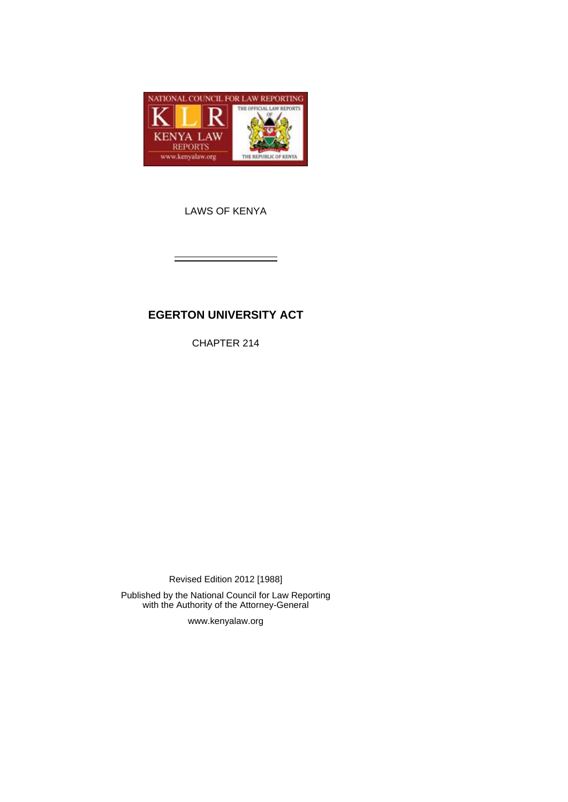

LAWS OF KENYA

# **EGERTON UNIVERSITY ACT**

CHAPTER 214

Revised Edition 2012 [1988]

Published by the National Council for Law Reporting with the Authority of the Attorney-General

[www.kenyalaw.org](http://www.kenyalaw.org/)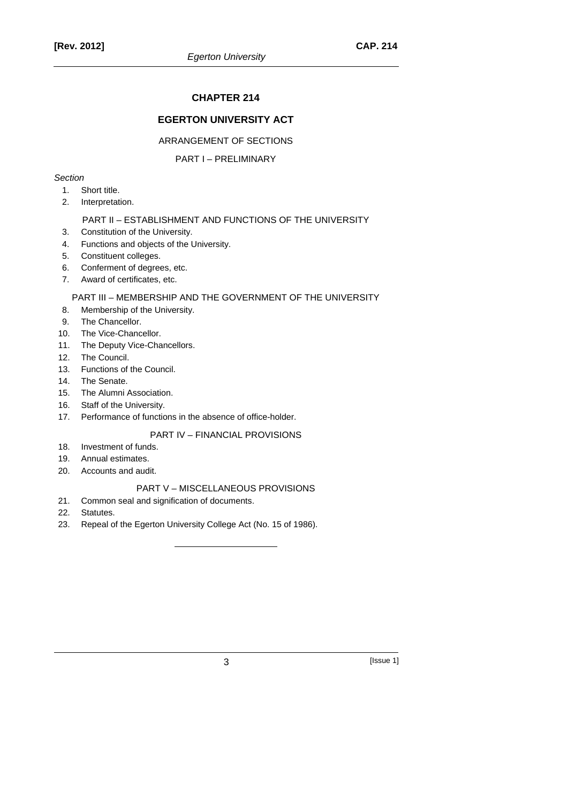# **CHAPTER 214**

# **EGERTON UNIVERSITY ACT**

## ARRANGEMENT OF SECTIONS

### PART I – PRELIMINARY

### *Section*

- 1. Short title.
- 2. Interpretation.

### PART II – ESTABLISHMENT AND FUNCTIONS OF THE UNIVERSITY

- 3. Constitution of the University.
- 4. Functions and objects of the University.
- 5. Constituent colleges.
- 6. Conferment of degrees, etc.
- 7. Award of certificates, etc.

# PART III – MEMBERSHIP AND THE GOVERNMENT OF THE UNIVERSITY

- 8. Membership of the University.
- 9. The Chancellor.
- 10. The Vice-Chancellor.
- 11. The Deputy Vice-Chancellors.
- 12. The Council.
- 13. Functions of the Council.
- 14. The Senate.
- 15. The Alumni Association.
- 16. Staff of the University.
- 17. Performance of functions in the absence of office-holder.

# PART IV – FINANCIAL PROVISIONS

- 18. Investment of funds.
- 19. Annual estimates.
- 20. Accounts and audit.

## PART V – MISCELLANEOUS PROVISIONS

- 21. Common seal and signification of documents.
- 22. Statutes.
- 23. Repeal of the Egerton University College Act (No. 15 of 1986).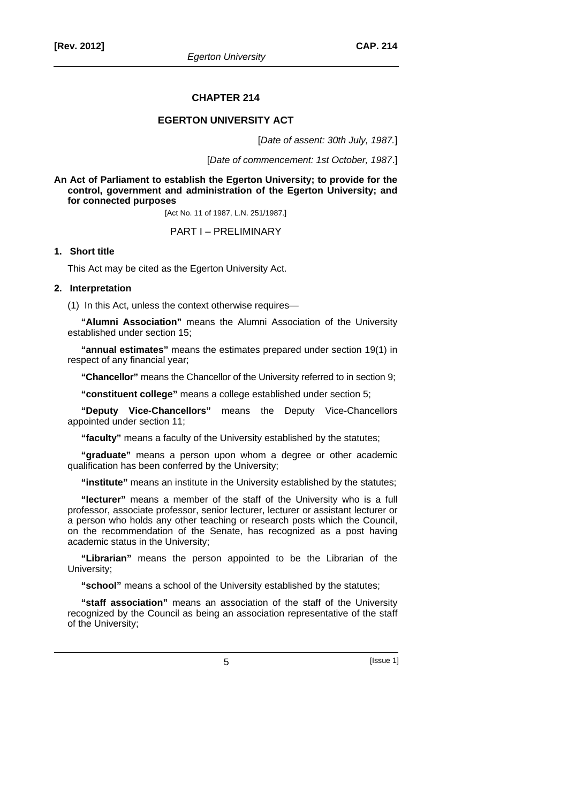### **CHAPTER 214**

## **EGERTON UNIVERSITY ACT**

[*Date of assent: 30th July, 1987.*]

[*Date of commencement: 1st October, 1987*.]

**An Act of Parliament to establish the Egerton University; to provide for the control, government and administration of the Egerton University; and for connected purposes** 

[Act No. 11 of 1987, L.N. 251/1987.]

PART I – PRELIMINARY

### **1. Short title**

This Act may be cited as the Egerton University Act.

## **2. Interpretation**

(1) In this Act, unless the context otherwise requires—

**"Alumni Association"** means the Alumni Association of the University established under section 15;

**"annual estimates"** means the estimates prepared under section 19(1) in respect of any financial year;

**"Chancellor"** means the Chancellor of the University referred to in section 9;

**"constituent college"** means a college established under section 5;

**"Deputy Vice-Chancellors"** means the Deputy Vice-Chancellors appointed under section 11;

**"faculty"** means a faculty of the University established by the statutes;

**"graduate"** means a person upon whom a degree or other academic qualification has been conferred by the University;

**"institute"** means an institute in the University established by the statutes;

**"lecturer"** means a member of the staff of the University who is a full professor, associate professor, senior lecturer, lecturer or assistant lecturer or a person who holds any other teaching or research posts which the Council, on the recommendation of the Senate, has recognized as a post having academic status in the University;

**"Librarian"** means the person appointed to be the Librarian of the University;

**"school"** means a school of the University established by the statutes;

**"staff association"** means an association of the staff of the University recognized by the Council as being an association representative of the staff of the University;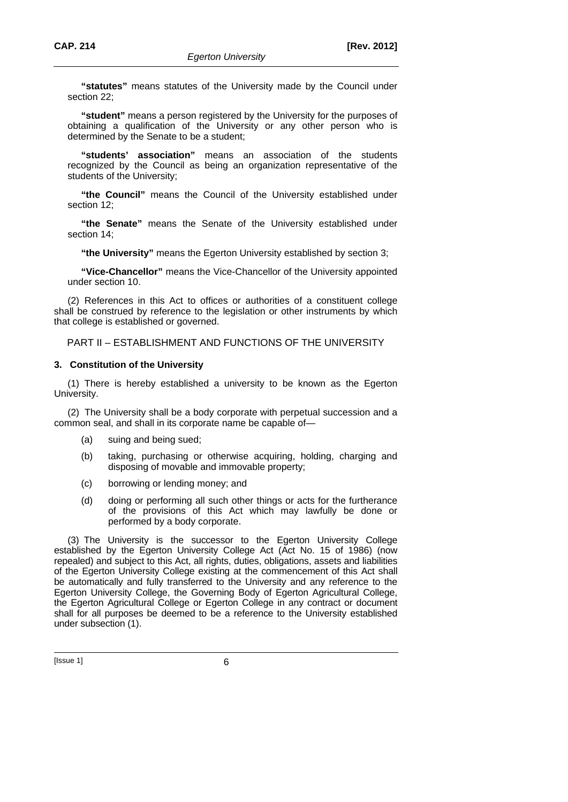**"statutes"** means statutes of the University made by the Council under section 22;

**"student"** means a person registered by the University for the purposes of obtaining a qualification of the University or any other person who is determined by the Senate to be a student;

**"students' association"** means an association of the students recognized by the Council as being an organization representative of the students of the University;

**"the Council"** means the Council of the University established under section 12;

**"the Senate"** means the Senate of the University established under section 14;

**"the University"** means the Egerton University established by section 3;

**"Vice-Chancellor"** means the Vice-Chancellor of the University appointed under section 10.

(2) References in this Act to offices or authorities of a constituent college shall be construed by reference to the legislation or other instruments by which that college is established or governed.

PART II – ESTABLISHMENT AND FUNCTIONS OF THE UNIVERSITY

## **3. Constitution of the University**

(1) There is hereby established a university to be known as the Egerton University.

(2) The University shall be a body corporate with perpetual succession and a common seal, and shall in its corporate name be capable of—

- (a) suing and being sued;
- (b) taking, purchasing or otherwise acquiring, holding, charging and disposing of movable and immovable property;
- (c) borrowing or lending money; and
- (d) doing or performing all such other things or acts for the furtherance of the provisions of this Act which may lawfully be done or performed by a body corporate.

(3) The University is the successor to the Egerton University College established by the Egerton University College Act (Act No. 15 of 1986) (now repealed) and subject to this Act, all rights, duties, obligations, assets and liabilities of the Egerton University College existing at the commencement of this Act shall be automatically and fully transferred to the University and any reference to the Egerton University College, the Governing Body of Egerton Agricultural College, the Egerton Agricultural College or Egerton College in any contract or document shall for all purposes be deemed to be a reference to the University established under subsection (1).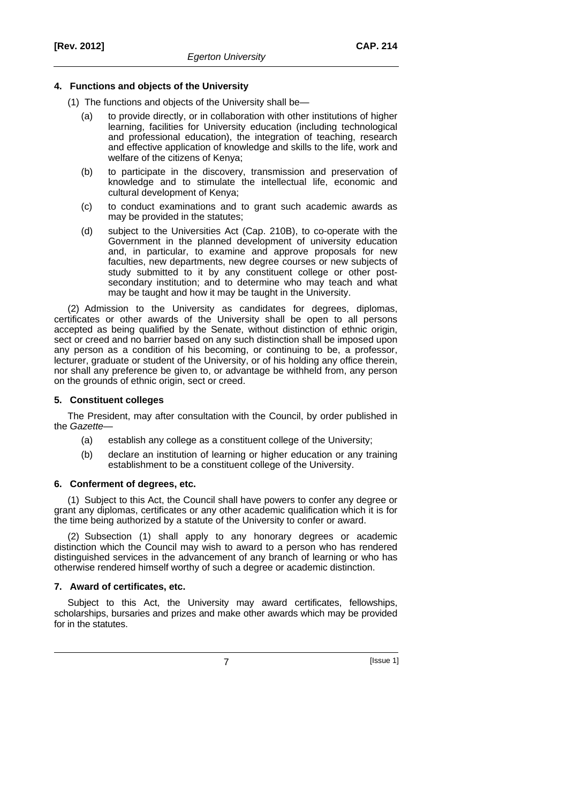# **4. Functions and objects of the University**

- (1) The functions and objects of the University shall be—
	- (a) to provide directly, or in collaboration with other institutions of higher learning, facilities for University education (including technological and professional education), the integration of teaching, research and effective application of knowledge and skills to the life, work and welfare of the citizens of Kenya;
	- (b) to participate in the discovery, transmission and preservation of knowledge and to stimulate the intellectual life, economic and cultural development of Kenya;
	- (c) to conduct examinations and to grant such academic awards as may be provided in the statutes;
	- (d) subject to the Universities Act (Cap. 210B), to co-operate with the Government in the planned development of university education and, in particular, to examine and approve proposals for new faculties, new departments, new degree courses or new subjects of study submitted to it by any constituent college or other postsecondary institution; and to determine who may teach and what may be taught and how it may be taught in the University.

(2) Admission to the University as candidates for degrees, diplomas, certificates or other awards of the University shall be open to all persons accepted as being qualified by the Senate, without distinction of ethnic origin, sect or creed and no barrier based on any such distinction shall be imposed upon any person as a condition of his becoming, or continuing to be, a professor, lecturer, graduate or student of the University, or of his holding any office therein, nor shall any preference be given to, or advantage be withheld from, any person on the grounds of ethnic origin, sect or creed.

# **5. Constituent colleges**

The President, may after consultation with the Council, by order published in the *Gazette*—

- (a) establish any college as a constituent college of the University;
- (b) declare an institution of learning or higher education or any training establishment to be a constituent college of the University.

# **6. Conferment of degrees, etc.**

(1) Subject to this Act, the Council shall have powers to confer any degree or grant any diplomas, certificates or any other academic qualification which it is for the time being authorized by a statute of the University to confer or award.

(2) Subsection (1) shall apply to any honorary degrees or academic distinction which the Council may wish to award to a person who has rendered distinguished services in the advancement of any branch of learning or who has otherwise rendered himself worthy of such a degree or academic distinction.

# **7. Award of certificates, etc.**

Subject to this Act, the University may award certificates, fellowships, scholarships, bursaries and prizes and make other awards which may be provided for in the statutes.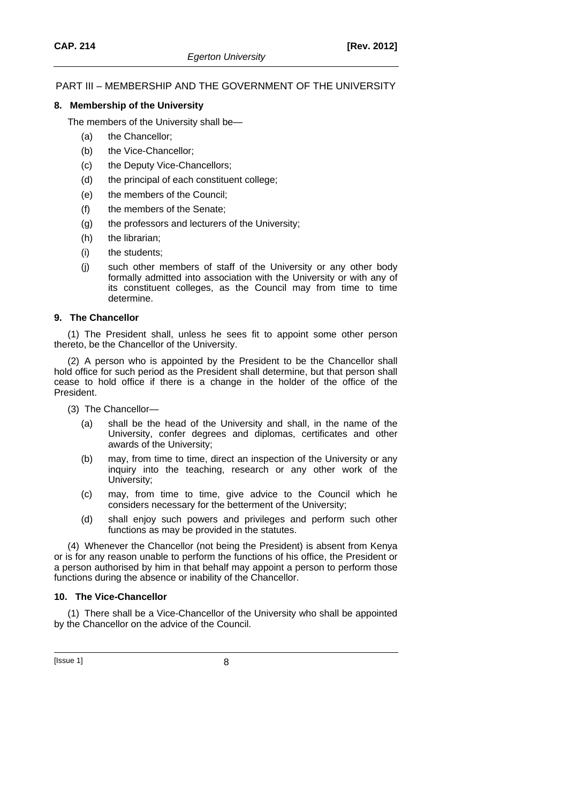# PART III – MEMBERSHIP AND THE GOVERNMENT OF THE UNIVERSITY

# **8. Membership of the University**

The members of the University shall be—

- (a) the Chancellor;
- (b) the Vice-Chancellor;
- (c) the Deputy Vice-Chancellors;
- (d) the principal of each constituent college;
- (e) the members of the Council;
- (f) the members of the Senate;
- (g) the professors and lecturers of the University;
- (h) the librarian;
- (i) the students;
- (j) such other members of staff of the University or any other body formally admitted into association with the University or with any of its constituent colleges, as the Council may from time to time determine.

# **9. The Chancellor**

(1) The President shall, unless he sees fit to appoint some other person thereto, be the Chancellor of the University.

(2) A person who is appointed by the President to be the Chancellor shall hold office for such period as the President shall determine, but that person shall cease to hold office if there is a change in the holder of the office of the President.

- (3) The Chancellor—
	- (a) shall be the head of the University and shall, in the name of the University, confer degrees and diplomas, certificates and other awards of the University;
	- (b) may, from time to time, direct an inspection of the University or any inquiry into the teaching, research or any other work of the University;
	- (c) may, from time to time, give advice to the Council which he considers necessary for the betterment of the University;
	- (d) shall enjoy such powers and privileges and perform such other functions as may be provided in the statutes.

(4) Whenever the Chancellor (not being the President) is absent from Kenya or is for any reason unable to perform the functions of his office, the President or a person authorised by him in that behalf may appoint a person to perform those functions during the absence or inability of the Chancellor.

# **10. The Vice-Chancellor**

(1) There shall be a Vice-Chancellor of the University who shall be appointed by the Chancellor on the advice of the Council.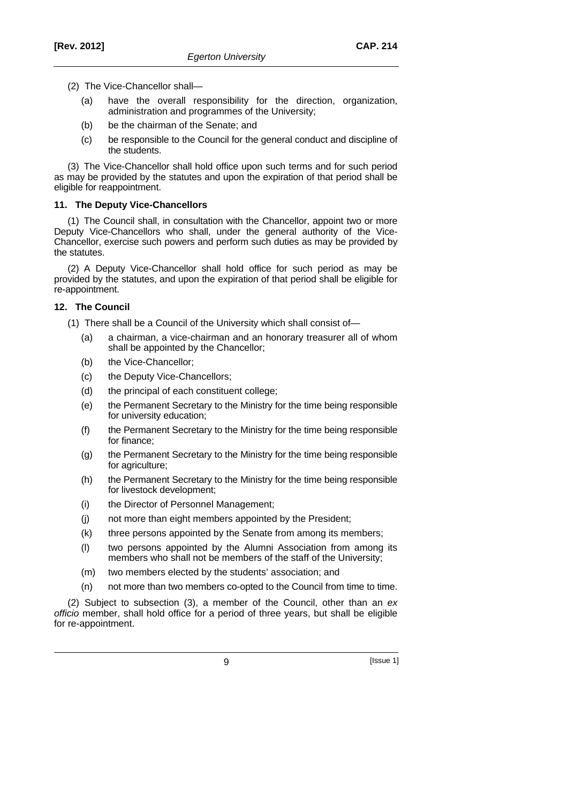- (2) The Vice-Chancellor shall—
	- (a) have the overall responsibility for the direction, organization, administration and programmes of the University:
	- (b) be the chairman of the Senate; and
	- (c) be responsible to the Council for the general conduct and discipline of the students.

(3) The Vice-Chancellor shall hold office upon such terms and for such period as may be provided by the statutes and upon the expiration of that period shall be eligible for reappointment.

# **11. The Deputy Vice-Chancellors**

(1) The Council shall, in consultation with the Chancellor, appoint two or more Deputy Vice-Chancellors who shall, under the general authority of the Vice-Chancellor, exercise such powers and perform such duties as may be provided by the statutes.

(2) A Deputy Vice-Chancellor shall hold office for such period as may be provided by the statutes, and upon the expiration of that period shall be eligible for re-appointment.

# **12. The Council**

(1) There shall be a Council of the University which shall consist of—

- (a) a chairman, a vice-chairman and an honorary treasurer all of whom shall be appointed by the Chancellor;
- (b) the Vice-Chancellor;
- (c) the Deputy Vice-Chancellors;
- (d) the principal of each constituent college;
- (e) the Permanent Secretary to the Ministry for the time being responsible for university education;
- (f) the Permanent Secretary to the Ministry for the time being responsible for finance;
- (g) the Permanent Secretary to the Ministry for the time being responsible for agriculture;
- (h) the Permanent Secretary to the Ministry for the time being responsible for livestock development;
- (i) the Director of Personnel Management;
- (j) not more than eight members appointed by the President;
- (k) three persons appointed by the Senate from among its members;
- (l) two persons appointed by the Alumni Association from among its members who shall not be members of the staff of the University;
- (m) two members elected by the students' association; and
- (n) not more than two members co-opted to the Council from time to time.

(2) Subject to subsection (3), a member of the Council, other than an *ex officio* member, shall hold office for a period of three years, but shall be eligible for re-appointment.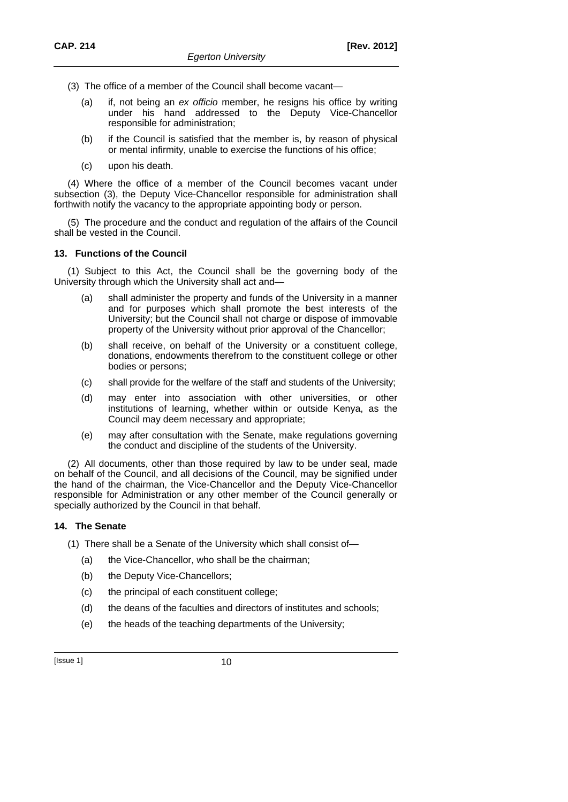- (3) The office of a member of the Council shall become vacant—
	- (a) if, not being an *ex officio* member, he resigns his office by writing under his hand addressed to the Deputy Vice-Chancellor responsible for administration;
	- (b) if the Council is satisfied that the member is, by reason of physical or mental infirmity, unable to exercise the functions of his office;
	- (c) upon his death.

(4) Where the office of a member of the Council becomes vacant under subsection (3), the Deputy Vice-Chancellor responsible for administration shall forthwith notify the vacancy to the appropriate appointing body or person.

(5) The procedure and the conduct and regulation of the affairs of the Council shall be vested in the Council.

# **13. Functions of the Council**

(1) Subject to this Act, the Council shall be the governing body of the University through which the University shall act and—

- (a) shall administer the property and funds of the University in a manner and for purposes which shall promote the best interests of the University; but the Council shall not charge or dispose of immovable property of the University without prior approval of the Chancellor;
- (b) shall receive, on behalf of the University or a constituent college, donations, endowments therefrom to the constituent college or other bodies or persons;
- (c) shall provide for the welfare of the staff and students of the University;
- (d) may enter into association with other universities, or other institutions of learning, whether within or outside Kenya, as the Council may deem necessary and appropriate;
- (e) may after consultation with the Senate, make regulations governing the conduct and discipline of the students of the University.

(2) All documents, other than those required by law to be under seal, made on behalf of the Council, and all decisions of the Council, may be signified under the hand of the chairman, the Vice-Chancellor and the Deputy Vice-Chancellor responsible for Administration or any other member of the Council generally or specially authorized by the Council in that behalf.

# **14. The Senate**

- (1) There shall be a Senate of the University which shall consist of—
	- (a) the Vice-Chancellor, who shall be the chairman;
	- (b) the Deputy Vice-Chancellors;
	- (c) the principal of each constituent college;
	- (d) the deans of the faculties and directors of institutes and schools;
	- (e) the heads of the teaching departments of the University;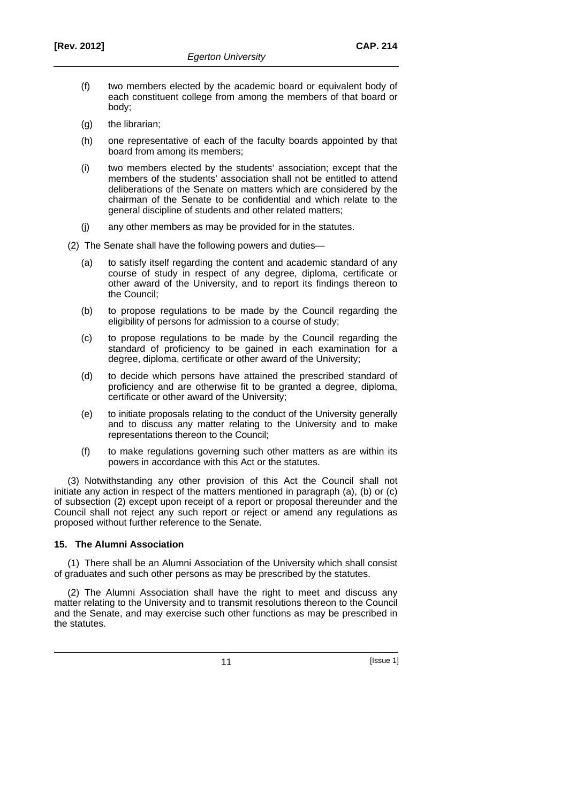- (f) two members elected by the academic board or equivalent body of each constituent college from among the members of that board or body;
- (g) the librarian;
- (h) one representative of each of the faculty boards appointed by that board from among its members;
- (i) two members elected by the students' association; except that the members of the students' association shall not be entitled to attend deliberations of the Senate on matters which are considered by the chairman of the Senate to be confidential and which relate to the general discipline of students and other related matters;
- (j) any other members as may be provided for in the statutes.
- (2) The Senate shall have the following powers and duties—
	- (a) to satisfy itself regarding the content and academic standard of any course of study in respect of any degree, diploma, certificate or other award of the University, and to report its findings thereon to the Council;
	- (b) to propose regulations to be made by the Council regarding the eligibility of persons for admission to a course of study;
	- (c) to propose regulations to be made by the Council regarding the standard of proficiency to be gained in each examination for a degree, diploma, certificate or other award of the University;
	- (d) to decide which persons have attained the prescribed standard of proficiency and are otherwise fit to be granted a degree, diploma, certificate or other award of the University;
	- (e) to initiate proposals relating to the conduct of the University generally and to discuss any matter relating to the University and to make representations thereon to the Council;
	- (f) to make regulations governing such other matters as are within its powers in accordance with this Act or the statutes.

(3) Notwithstanding any other provision of this Act the Council shall not initiate any action in respect of the matters mentioned in paragraph (a), (b) or (c) of subsection (2) except upon receipt of a report or proposal thereunder and the Council shall not reject any such report or reject or amend any regulations as proposed without further reference to the Senate.

# **15. The Alumni Association**

(1) There shall be an Alumni Association of the University which shall consist of graduates and such other persons as may be prescribed by the statutes.

(2) The Alumni Association shall have the right to meet and discuss any matter relating to the University and to transmit resolutions thereon to the Council and the Senate, and may exercise such other functions as may be prescribed in the statutes.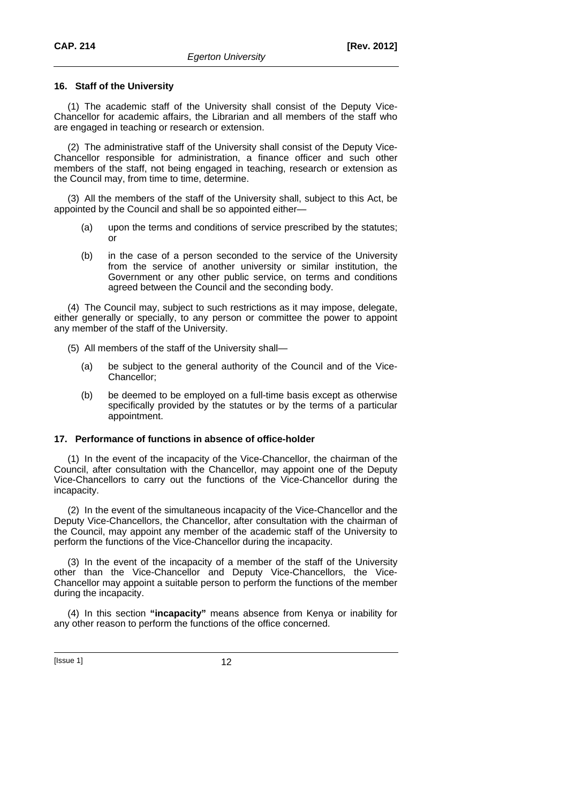# **16. Staff of the University**

(1) The academic staff of the University shall consist of the Deputy Vice-Chancellor for academic affairs, the Librarian and all members of the staff who are engaged in teaching or research or extension.

(2) The administrative staff of the University shall consist of the Deputy Vice-Chancellor responsible for administration, a finance officer and such other members of the staff, not being engaged in teaching, research or extension as the Council may, from time to time, determine.

(3) All the members of the staff of the University shall, subject to this Act, be appointed by the Council and shall be so appointed either—

- (a) upon the terms and conditions of service prescribed by the statutes; or
- (b) in the case of a person seconded to the service of the University from the service of another university or similar institution, the Government or any other public service, on terms and conditions agreed between the Council and the seconding body.

(4) The Council may, subject to such restrictions as it may impose, delegate, either generally or specially, to any person or committee the power to appoint any member of the staff of the University.

- (5) All members of the staff of the University shall—
	- (a) be subject to the general authority of the Council and of the Vice-Chancellor;
	- (b) be deemed to be employed on a full-time basis except as otherwise specifically provided by the statutes or by the terms of a particular appointment.

# **17. Performance of functions in absence of office-holder**

(1) In the event of the incapacity of the Vice-Chancellor, the chairman of the Council, after consultation with the Chancellor, may appoint one of the Deputy Vice-Chancellors to carry out the functions of the Vice-Chancellor during the incapacity.

(2) In the event of the simultaneous incapacity of the Vice-Chancellor and the Deputy Vice-Chancellors, the Chancellor, after consultation with the chairman of the Council, may appoint any member of the academic staff of the University to perform the functions of the Vice-Chancellor during the incapacity.

(3) In the event of the incapacity of a member of the staff of the University other than the Vice-Chancellor and Deputy Vice-Chancellors, the Vice-Chancellor may appoint a suitable person to perform the functions of the member during the incapacity.

(4) In this section **"incapacity"** means absence from Kenya or inability for any other reason to perform the functions of the office concerned.

[Issue 1] 12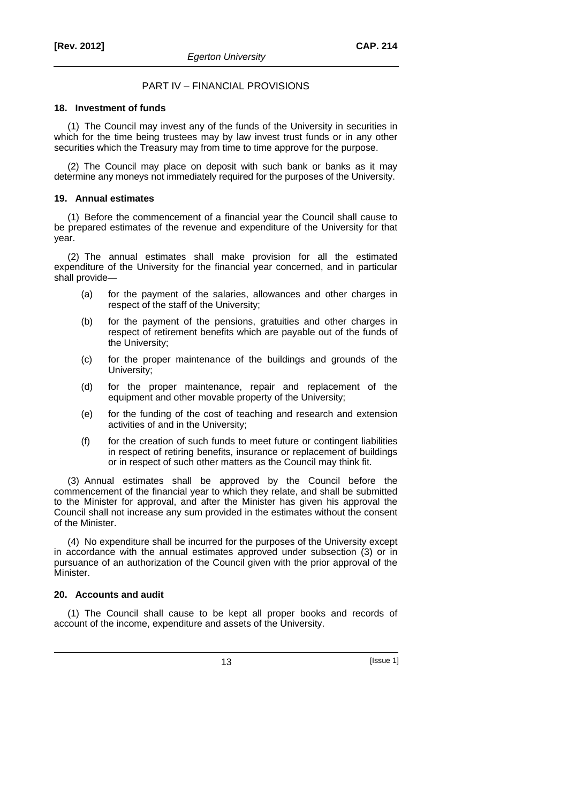# PART IV – FINANCIAL PROVISIONS

## **18. Investment of funds**

(1) The Council may invest any of the funds of the University in securities in which for the time being trustees may by law invest trust funds or in any other securities which the Treasury may from time to time approve for the purpose.

(2) The Council may place on deposit with such bank or banks as it may determine any moneys not immediately required for the purposes of the University.

## **19. Annual estimates**

(1) Before the commencement of a financial year the Council shall cause to be prepared estimates of the revenue and expenditure of the University for that year.

(2) The annual estimates shall make provision for all the estimated expenditure of the University for the financial year concerned, and in particular shall provide—

- (a) for the payment of the salaries, allowances and other charges in respect of the staff of the University;
- (b) for the payment of the pensions, gratuities and other charges in respect of retirement benefits which are payable out of the funds of the University;
- (c) for the proper maintenance of the buildings and grounds of the University;
- (d) for the proper maintenance, repair and replacement of the equipment and other movable property of the University;
- (e) for the funding of the cost of teaching and research and extension activities of and in the University;
- (f) for the creation of such funds to meet future or contingent liabilities in respect of retiring benefits, insurance or replacement of buildings or in respect of such other matters as the Council may think fit.

(3) Annual estimates shall be approved by the Council before the commencement of the financial year to which they relate, and shall be submitted to the Minister for approval, and after the Minister has given his approval the Council shall not increase any sum provided in the estimates without the consent of the Minister.

(4) No expenditure shall be incurred for the purposes of the University except in accordance with the annual estimates approved under subsection (3) or in pursuance of an authorization of the Council given with the prior approval of the Minister.

# **20. Accounts and audit**

(1) The Council shall cause to be kept all proper books and records of account of the income, expenditure and assets of the University.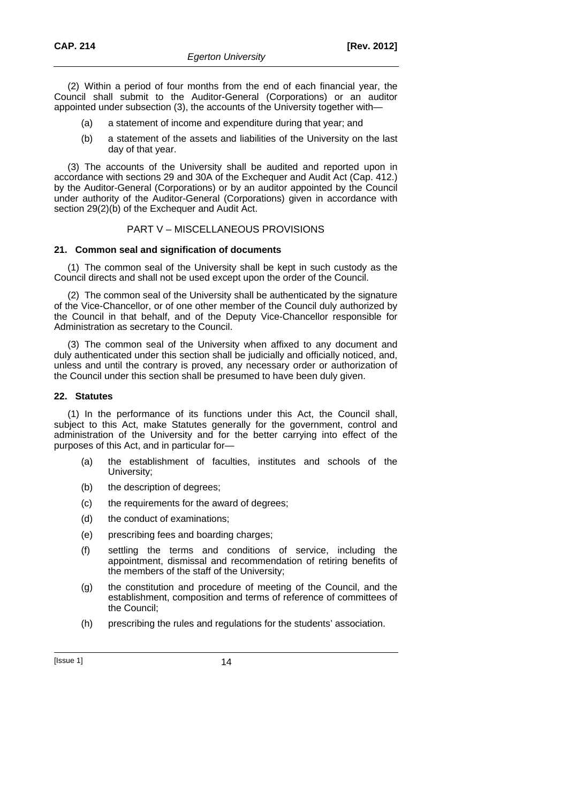(2) Within a period of four months from the end of each financial year, the Council shall submit to the Auditor-General (Corporations) or an auditor appointed under subsection (3), the accounts of the University together with—

- (a) a statement of income and expenditure during that year; and
- (b) a statement of the assets and liabilities of the University on the last day of that year.

(3) The accounts of the University shall be audited and reported upon in accordance with sections 29 and 30A of the Exchequer and Audit Act (Cap. 412.) by the Auditor-General (Corporations) or by an auditor appointed by the Council under authority of the Auditor-General (Corporations) given in accordance with section 29(2)(b) of the Exchequer and Audit Act.

# PART V – MISCELLANEOUS PROVISIONS

# **21. Common seal and signification of documents**

(1) The common seal of the University shall be kept in such custody as the Council directs and shall not be used except upon the order of the Council.

(2) The common seal of the University shall be authenticated by the signature of the Vice-Chancellor, or of one other member of the Council duly authorized by the Council in that behalf, and of the Deputy Vice-Chancellor responsible for Administration as secretary to the Council.

(3) The common seal of the University when affixed to any document and duly authenticated under this section shall be judicially and officially noticed, and, unless and until the contrary is proved, any necessary order or authorization of the Council under this section shall be presumed to have been duly given.

# **22. Statutes**

(1) In the performance of its functions under this Act, the Council shall, subject to this Act, make Statutes generally for the government, control and administration of the University and for the better carrying into effect of the purposes of this Act, and in particular for—

- (a) the establishment of faculties, institutes and schools of the University;
- (b) the description of degrees;
- (c) the requirements for the award of degrees;
- (d) the conduct of examinations;
- (e) prescribing fees and boarding charges;
- (f) settling the terms and conditions of service, including the appointment, dismissal and recommendation of retiring benefits of the members of the staff of the University;
- (g) the constitution and procedure of meeting of the Council, and the establishment, composition and terms of reference of committees of the Council;
- (h) prescribing the rules and regulations for the students' association.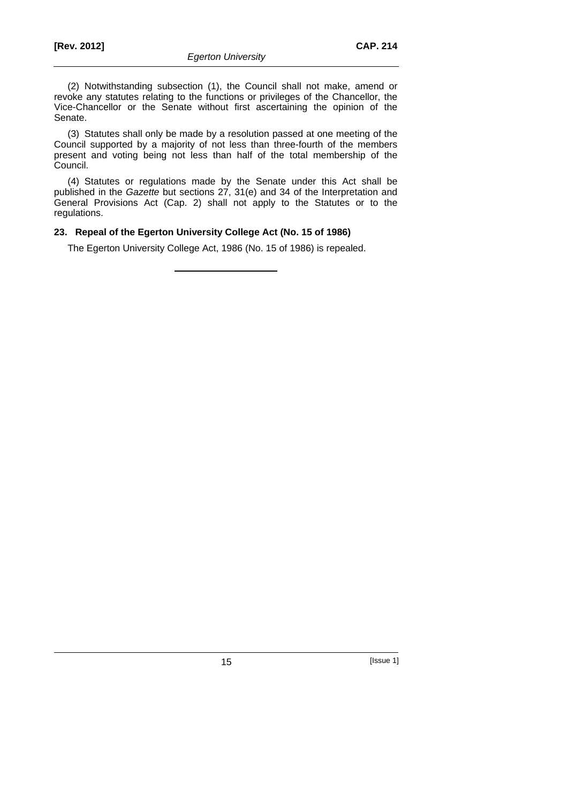(2) Notwithstanding subsection (1), the Council shall not make, amend or revoke any statutes relating to the functions or privileges of the Chancellor, the Vice-Chancellor or the Senate without first ascertaining the opinion of the Senate.

(3) Statutes shall only be made by a resolution passed at one meeting of the Council supported by a majority of not less than three-fourth of the members present and voting being not less than half of the total membership of the Council.

(4) Statutes or regulations made by the Senate under this Act shall be published in the *Gazette* but sections 27, 31(e) and 34 of the Interpretation and General Provisions Act (Cap. 2) shall not apply to the Statutes or to the regulations.

# **23. Repeal of the Egerton University College Act (No. 15 of 1986)**

The Egerton University College Act, 1986 (No. 15 of 1986) is repealed.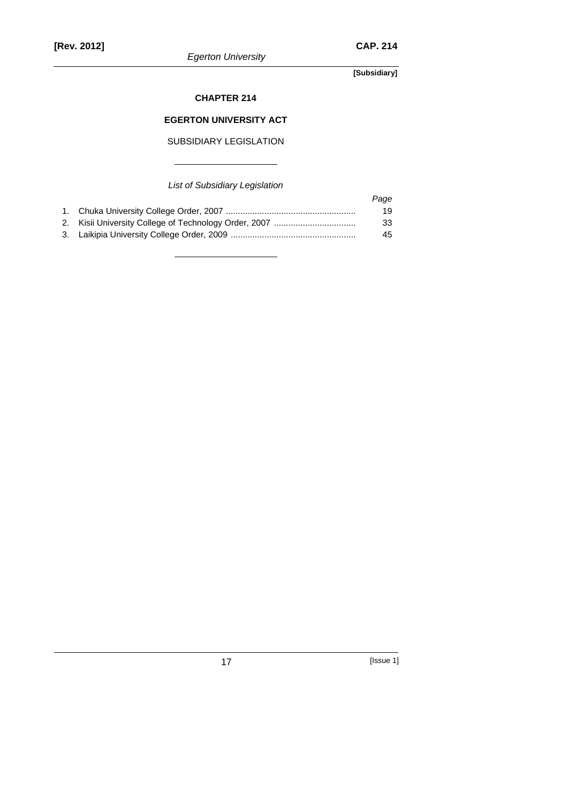*Egerton University* 

**[Subsidiary]** 

# **CHAPTER 214**

# **EGERTON UNIVERSITY ACT**

# SUBSIDIARY LEGISLATION

*List of Subsidiary Legislation* 

|  | Page |
|--|------|
|  | 19   |
|  | 33   |
|  | 45   |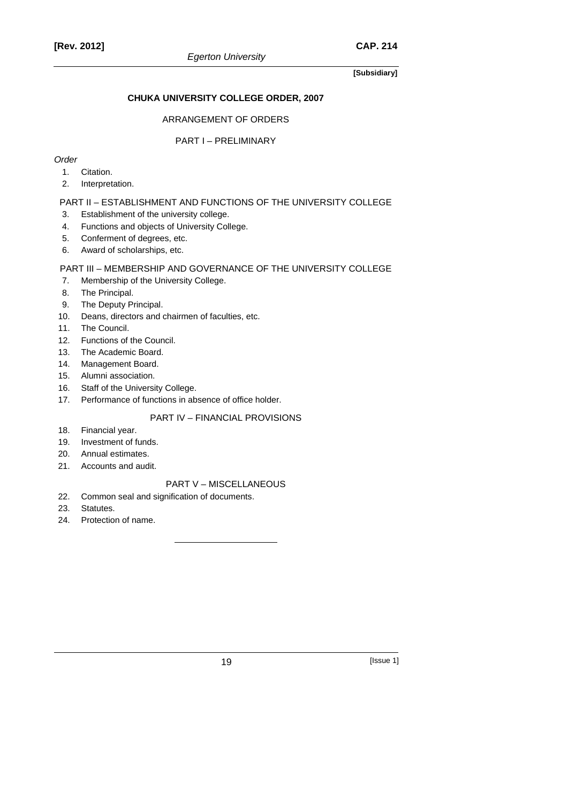# **CHUKA UNIVERSITY COLLEGE ORDER, 2007**

# ARRANGEMENT OF ORDERS

# PART I – PRELIMINARY

# *Order*

- 1. Citation.
- 2. Interpretation.

# PART II – ESTABLISHMENT AND FUNCTIONS OF THE UNIVERSITY COLLEGE

- 3. Establishment of the university college.
- 4. Functions and objects of University College.
- 5. Conferment of degrees, etc.
- 6. Award of scholarships, etc.

# PART III – MEMBERSHIP AND GOVERNANCE OF THE UNIVERSITY COLLEGE

# 7. Membership of the University College.

- 8. The Principal.
- 9. The Deputy Principal.
- 10. Deans, directors and chairmen of faculties, etc.
- 11. The Council.
- 12. Functions of the Council.
- 13. The Academic Board.
- 14. Management Board.
- 15. Alumni association.
- 16. Staff of the University College.
- 17. Performance of functions in absence of office holder.

# PART IV – FINANCIAL PROVISIONS

- 18. Financial year.
- 19. Investment of funds.
- 20. Annual estimates.
- 21. Accounts and audit.

# PART V – MISCELLANEOUS

- 22. Common seal and signification of documents.
- 23. Statutes.
- 24. Protection of name.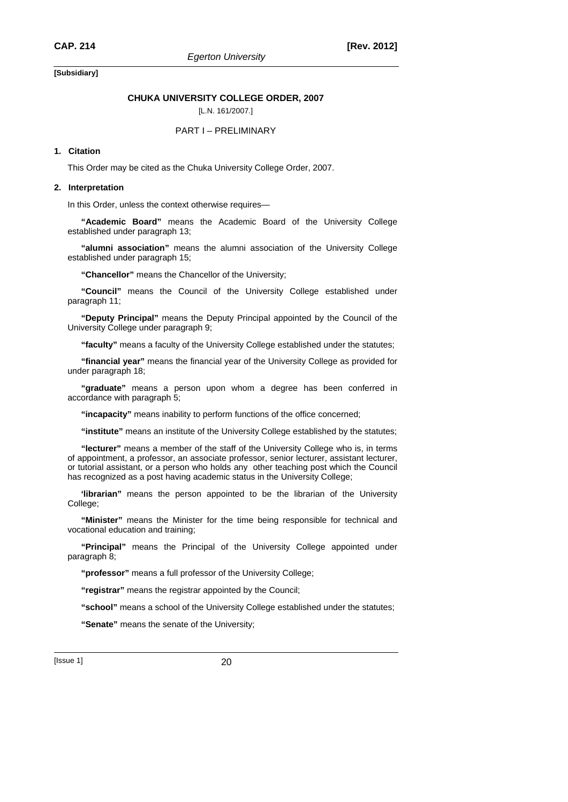### **CHUKA UNIVERSITY COLLEGE ORDER, 2007**

[L.N. 161/2007.]

# PART I – PRELIMINARY

## **1. Citation**

This Order may be cited as the Chuka University College Order, 2007.

### **2. Interpretation**

In this Order, unless the context otherwise requires—

**"Academic Board"** means the Academic Board of the University College established under paragraph 13;

**"alumni association"** means the alumni association of the University College established under paragraph 15;

**"Chancellor"** means the Chancellor of the University;

**"Council"** means the Council of the University College established under paragraph 11;

**"Deputy Principal"** means the Deputy Principal appointed by the Council of the University College under paragraph 9;

**"faculty"** means a faculty of the University College established under the statutes;

**"financial year"** means the financial year of the University College as provided for under paragraph 18;

**"graduate"** means a person upon whom a degree has been conferred in accordance with paragraph 5;

**"incapacity"** means inability to perform functions of the office concerned;

**"institute"** means an institute of the University College established by the statutes;

**"lecturer"** means a member of the staff of the University College who is, in terms of appointment, a professor, an associate professor, senior lecturer, assistant lecturer, or tutorial assistant, or a person who holds any other teaching post which the Council has recognized as a post having academic status in the University College;

**'librarian"** means the person appointed to be the librarian of the University College;

**"Minister"** means the Minister for the time being responsible for technical and vocational education and training;

**"Principal"** means the Principal of the University College appointed under paragraph 8;

**"professor"** means a full professor of the University College;

**"registrar"** means the registrar appointed by the Council;

**"school"** means a school of the University College established under the statutes;

**"Senate"** means the senate of the University;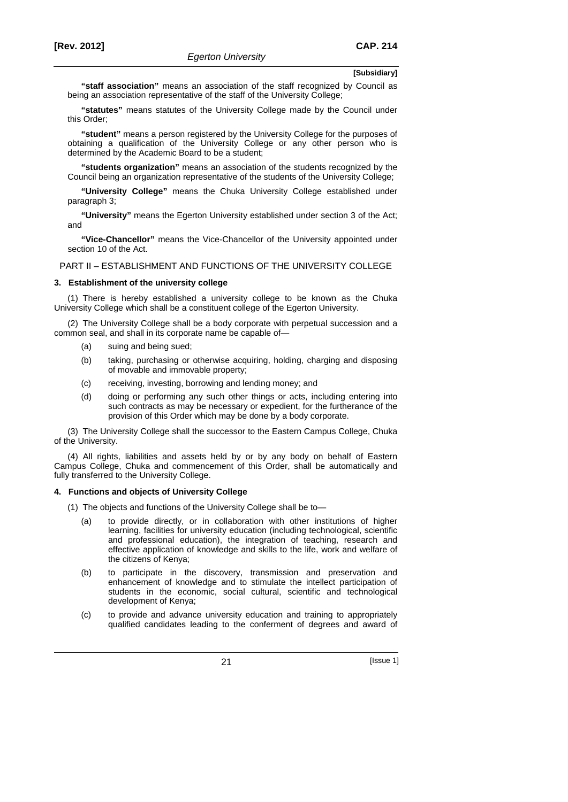**"staff association"** means an association of the staff recognized by Council as being an association representative of the staff of the University College;

**"statutes"** means statutes of the University College made by the Council under this Order;

**"student"** means a person registered by the University College for the purposes of obtaining a qualification of the University College or any other person who is determined by the Academic Board to be a student;

**"students organization"** means an association of the students recognized by the Council being an organization representative of the students of the University College;

**"University College"** means the Chuka University College established under paragraph 3;

**"University"** means the Egerton University established under section 3 of the Act; and

**"Vice-Chancellor"** means the Vice-Chancellor of the University appointed under section 10 of the Act.

PART II – ESTABLISHMENT AND FUNCTIONS OF THE UNIVERSITY COLLEGE

### **3. Establishment of the university college**

(1) There is hereby established a university college to be known as the Chuka University College which shall be a constituent college of the Egerton University.

(2) The University College shall be a body corporate with perpetual succession and a common seal, and shall in its corporate name be capable of—

- (a) suing and being sued;
- (b) taking, purchasing or otherwise acquiring, holding, charging and disposing of movable and immovable property;
- (c) receiving, investing, borrowing and lending money; and
- (d) doing or performing any such other things or acts, including entering into such contracts as may be necessary or expedient, for the furtherance of the provision of this Order which may be done by a body corporate.

(3) The University College shall the successor to the Eastern Campus College, Chuka of the University.

(4) All rights, liabilities and assets held by or by any body on behalf of Eastern Campus College, Chuka and commencement of this Order, shall be automatically and fully transferred to the University College.

### **4. Functions and objects of University College**

- (1) The objects and functions of the University College shall be to—
	- (a) to provide directly, or in collaboration with other institutions of higher learning, facilities for university education (including technological, scientific and professional education), the integration of teaching, research and effective application of knowledge and skills to the life, work and welfare of the citizens of Kenya;
	- (b) to participate in the discovery, transmission and preservation and enhancement of knowledge and to stimulate the intellect participation of students in the economic, social cultural, scientific and technological development of Kenya;
	- (c) to provide and advance university education and training to appropriately qualified candidates leading to the conferment of degrees and award of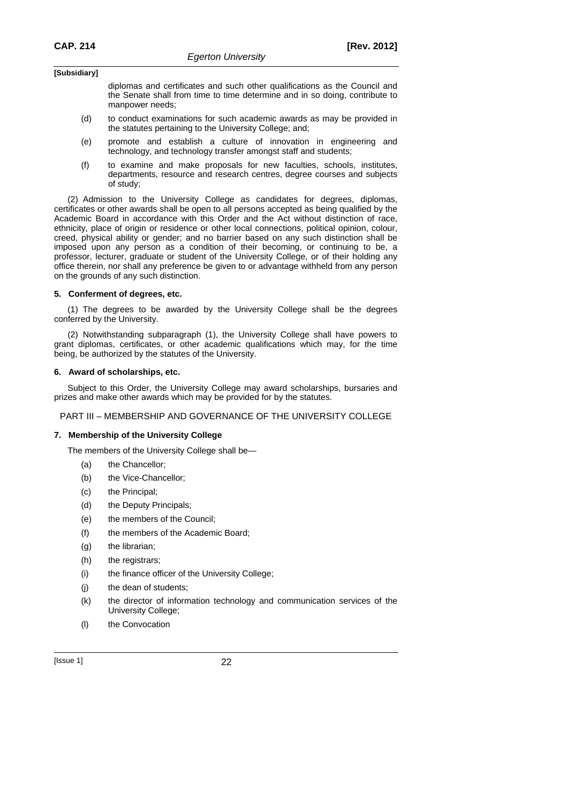diplomas and certificates and such other qualifications as the Council and the Senate shall from time to time determine and in so doing, contribute to manpower needs;

- (d) to conduct examinations for such academic awards as may be provided in the statutes pertaining to the University College; and;
- (e) promote and establish a culture of innovation in engineering and technology, and technology transfer amongst staff and students;
- (f) to examine and make proposals for new faculties, schools, institutes, departments, resource and research centres, degree courses and subjects of study;

(2) Admission to the University College as candidates for degrees, diplomas, certificates or other awards shall be open to all persons accepted as being qualified by the Academic Board in accordance with this Order and the Act without distinction of race, ethnicity, place of origin or residence or other local connections, political opinion, colour, creed, physical ability or gender; and no barrier based on any such distinction shall be imposed upon any person as a condition of their becoming, or continuing to be, a professor, lecturer, graduate or student of the University College, or of their holding any office therein, nor shall any preference be given to or advantage withheld from any person on the grounds of any such distinction.

### **5. Conferment of degrees, etc.**

(1) The degrees to be awarded by the University College shall be the degrees conferred by the University.

(2) Notwithstanding subparagraph (1), the University College shall have powers to grant diplomas, certificates, or other academic qualifications which may, for the time being, be authorized by the statutes of the University.

#### **6. Award of scholarships, etc.**

Subject to this Order, the University College may award scholarships, bursaries and prizes and make other awards which may be provided for by the statutes.

#### PART III – MEMBERSHIP AND GOVERNANCE OF THE UNIVERSITY COLLEGE

### **7. Membership of the University College**

The members of the University College shall be—

- (a) the Chancellor;
- (b) the Vice-Chancellor;
- (c) the Principal;
- (d) the Deputy Principals;
- (e) the members of the Council;
- (f) the members of the Academic Board;
- (g) the librarian;
- (h) the registrars;
- (i) the finance officer of the University College;
- (j) the dean of students;
- (k) the director of information technology and communication services of the University College;
- (l) the Convocation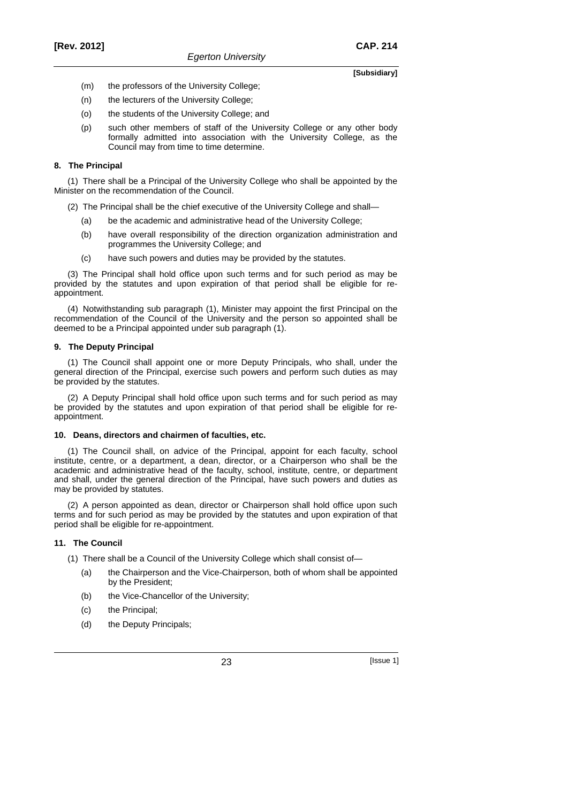- (m) the professors of the University College:
- (n) the lecturers of the University College;
- (o) the students of the University College; and
- (p) such other members of staff of the University College or any other body formally admitted into association with the University College, as the Council may from time to time determine.

### **8. The Principal**

(1) There shall be a Principal of the University College who shall be appointed by the Minister on the recommendation of the Council.

- (2) The Principal shall be the chief executive of the University College and shall—
	- (a) be the academic and administrative head of the University College;
	- (b) have overall responsibility of the direction organization administration and programmes the University College; and
	- (c) have such powers and duties may be provided by the statutes.

(3) The Principal shall hold office upon such terms and for such period as may be provided by the statutes and upon expiration of that period shall be eligible for reappointment.

(4) Notwithstanding sub paragraph (1), Minister may appoint the first Principal on the recommendation of the Council of the University and the person so appointed shall be deemed to be a Principal appointed under sub paragraph (1).

#### **9. The Deputy Principal**

(1) The Council shall appoint one or more Deputy Principals, who shall, under the general direction of the Principal, exercise such powers and perform such duties as may be provided by the statutes.

(2) A Deputy Principal shall hold office upon such terms and for such period as may be provided by the statutes and upon expiration of that period shall be eligible for reappointment.

#### **10. Deans, directors and chairmen of faculties, etc.**

(1) The Council shall, on advice of the Principal, appoint for each faculty, school institute, centre, or a department, a dean, director, or a Chairperson who shall be the academic and administrative head of the faculty, school, institute, centre, or department and shall, under the general direction of the Principal, have such powers and duties as may be provided by statutes.

(2) A person appointed as dean, director or Chairperson shall hold office upon such terms and for such period as may be provided by the statutes and upon expiration of that period shall be eligible for re-appointment.

#### **11. The Council**

- (1) There shall be a Council of the University College which shall consist of—
	- (a) the Chairperson and the Vice-Chairperson, both of whom shall be appointed by the President;
	- (b) the Vice-Chancellor of the University;
	- (c) the Principal;
	- (d) the Deputy Principals;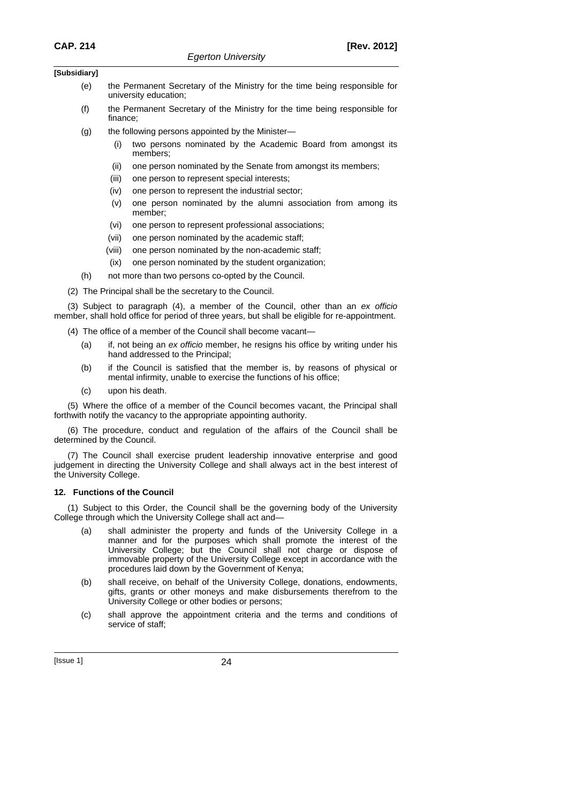- (e) the Permanent Secretary of the Ministry for the time being responsible for university education;
- (f) the Permanent Secretary of the Ministry for the time being responsible for finance;
- (g) the following persons appointed by the Minister—
	- (i) two persons nominated by the Academic Board from amongst its members;
	- (ii) one person nominated by the Senate from amongst its members;
	- (iii) one person to represent special interests;
	- (iv) one person to represent the industrial sector;
	- (v) one person nominated by the alumni association from among its member;
	- (vi) one person to represent professional associations;
	- (vii) one person nominated by the academic staff;
	- (viii) one person nominated by the non-academic staff;
	- (ix) one person nominated by the student organization;
- (h) not more than two persons co-opted by the Council.
- (2) The Principal shall be the secretary to the Council.

(3) Subject to paragraph (4), a member of the Council, other than an *ex officio* member, shall hold office for period of three years, but shall be eligible for re-appointment.

- (4) The office of a member of the Council shall become vacant—
	- (a) if, not being an *ex officio* member, he resigns his office by writing under his hand addressed to the Principal;
	- (b) if the Council is satisfied that the member is, by reasons of physical or mental infirmity, unable to exercise the functions of his office;
	- (c) upon his death.

(5) Where the office of a member of the Council becomes vacant, the Principal shall forthwith notify the vacancy to the appropriate appointing authority.

(6) The procedure, conduct and regulation of the affairs of the Council shall be determined by the Council.

(7) The Council shall exercise prudent leadership innovative enterprise and good judgement in directing the University College and shall always act in the best interest of the University College.

### **12. Functions of the Council**

(1) Subject to this Order, the Council shall be the governing body of the University College through which the University College shall act and—

- (a) shall administer the property and funds of the University College in a manner and for the purposes which shall promote the interest of the University College; but the Council shall not charge or dispose of immovable property of the University College except in accordance with the procedures laid down by the Government of Kenya;
- (b) shall receive, on behalf of the University College, donations, endowments, gifts, grants or other moneys and make disbursements therefrom to the University College or other bodies or persons;
- (c) shall approve the appointment criteria and the terms and conditions of service of staff;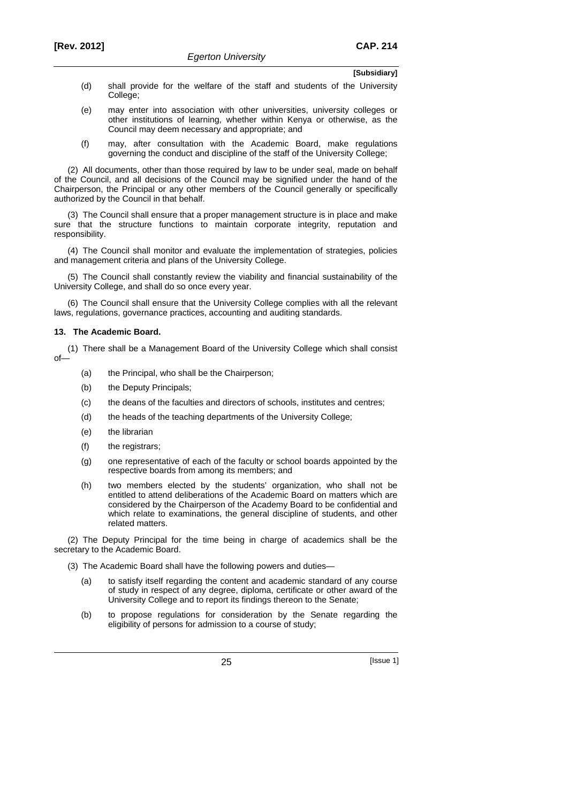- (d) shall provide for the welfare of the staff and students of the University College;
- (e) may enter into association with other universities, university colleges or other institutions of learning, whether within Kenya or otherwise, as the Council may deem necessary and appropriate; and
- (f) may, after consultation with the Academic Board, make regulations governing the conduct and discipline of the staff of the University College;

(2) All documents, other than those required by law to be under seal, made on behalf of the Council, and all decisions of the Council may be signified under the hand of the Chairperson, the Principal or any other members of the Council generally or specifically authorized by the Council in that behalf.

(3) The Council shall ensure that a proper management structure is in place and make sure that the structure functions to maintain corporate integrity, reputation and responsibility.

(4) The Council shall monitor and evaluate the implementation of strategies, policies and management criteria and plans of the University College.

(5) The Council shall constantly review the viability and financial sustainability of the University College, and shall do so once every year.

(6) The Council shall ensure that the University College complies with all the relevant laws, regulations, governance practices, accounting and auditing standards.

#### **13. The Academic Board.**

(1) There shall be a Management Board of the University College which shall consist of—

- (a) the Principal, who shall be the Chairperson;
- (b) the Deputy Principals;
- (c) the deans of the faculties and directors of schools, institutes and centres;
- (d) the heads of the teaching departments of the University College;
- (e) the librarian
- (f) the registrars;
- (g) one representative of each of the faculty or school boards appointed by the respective boards from among its members; and
- (h) two members elected by the students' organization, who shall not be entitled to attend deliberations of the Academic Board on matters which are considered by the Chairperson of the Academy Board to be confidential and which relate to examinations, the general discipline of students, and other related matters.

(2) The Deputy Principal for the time being in charge of academics shall be the secretary to the Academic Board.

(3) The Academic Board shall have the following powers and duties—

- (a) to satisfy itself regarding the content and academic standard of any course of study in respect of any degree, diploma, certificate or other award of the University College and to report its findings thereon to the Senate;
- (b) to propose regulations for consideration by the Senate regarding the eligibility of persons for admission to a course of study;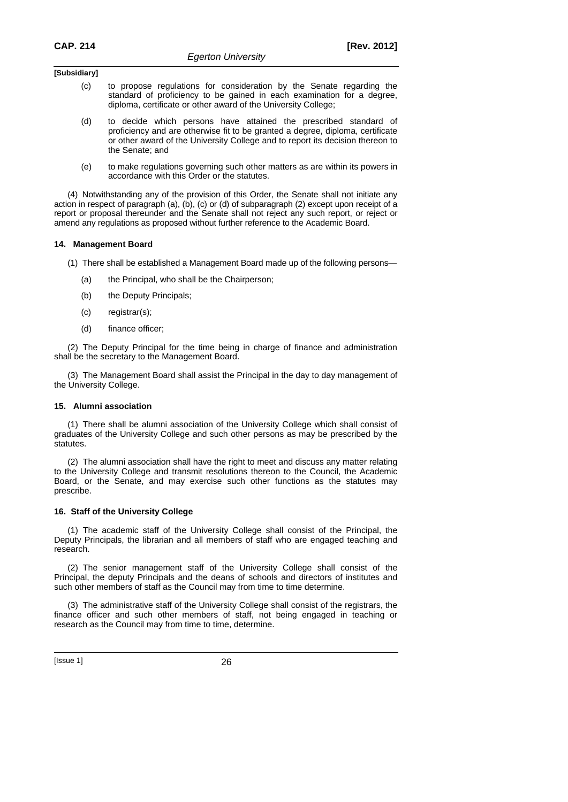- (c) to propose regulations for consideration by the Senate regarding the standard of proficiency to be gained in each examination for a degree, diploma, certificate or other award of the University College;
- (d) to decide which persons have attained the prescribed standard of proficiency and are otherwise fit to be granted a degree, diploma, certificate or other award of the University College and to report its decision thereon to the Senate; and
- (e) to make regulations governing such other matters as are within its powers in accordance with this Order or the statutes.

(4) Notwithstanding any of the provision of this Order, the Senate shall not initiate any action in respect of paragraph (a), (b), (c) or (d) of subparagraph (2) except upon receipt of a report or proposal thereunder and the Senate shall not reject any such report, or reject or amend any regulations as proposed without further reference to the Academic Board.

### **14. Management Board**

- (1) There shall be established a Management Board made up of the following persons—
	- (a) the Principal, who shall be the Chairperson;
	- (b) the Deputy Principals;
	- (c) registrar(s);
	- (d) finance officer;

(2) The Deputy Principal for the time being in charge of finance and administration shall be the secretary to the Management Board.

(3) The Management Board shall assist the Principal in the day to day management of the University College.

#### **15. Alumni association**

(1) There shall be alumni association of the University College which shall consist of graduates of the University College and such other persons as may be prescribed by the statutes.

(2) The alumni association shall have the right to meet and discuss any matter relating to the University College and transmit resolutions thereon to the Council, the Academic Board, or the Senate, and may exercise such other functions as the statutes may prescribe.

#### **16. Staff of the University College**

(1) The academic staff of the University College shall consist of the Principal, the Deputy Principals, the librarian and all members of staff who are engaged teaching and research.

(2) The senior management staff of the University College shall consist of the Principal, the deputy Principals and the deans of schools and directors of institutes and such other members of staff as the Council may from time to time determine.

(3) The administrative staff of the University College shall consist of the registrars, the finance officer and such other members of staff, not being engaged in teaching or research as the Council may from time to time, determine.

[Issue 1] 26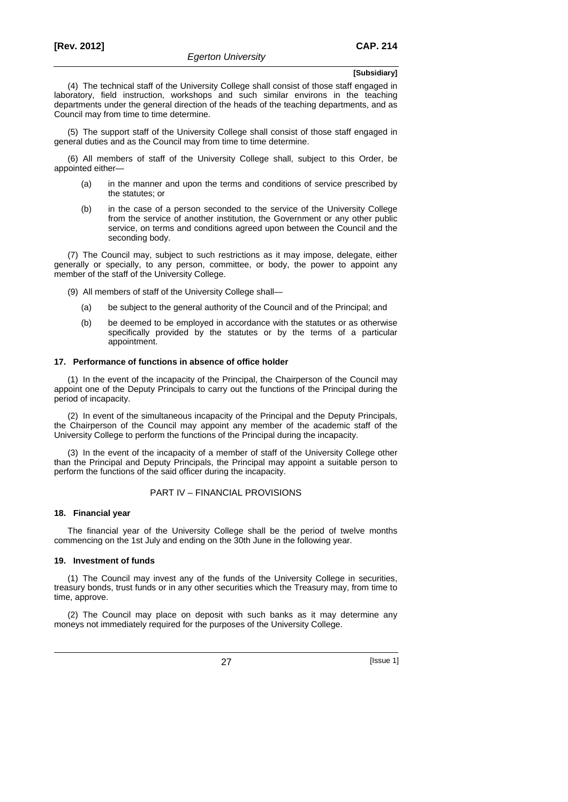(4) The technical staff of the University College shall consist of those staff engaged in laboratory, field instruction, workshops and such similar environs in the teaching departments under the general direction of the heads of the teaching departments, and as Council may from time to time determine.

(5) The support staff of the University College shall consist of those staff engaged in general duties and as the Council may from time to time determine.

(6) All members of staff of the University College shall, subject to this Order, be appointed either—

- (a) in the manner and upon the terms and conditions of service prescribed by the statutes; or
- (b) in the case of a person seconded to the service of the University College from the service of another institution, the Government or any other public service, on terms and conditions agreed upon between the Council and the seconding body.

(7) The Council may, subject to such restrictions as it may impose, delegate, either generally or specially, to any person, committee, or body, the power to appoint any member of the staff of the University College.

- (9) All members of staff of the University College shall—
	- (a) be subject to the general authority of the Council and of the Principal; and
	- (b) be deemed to be employed in accordance with the statutes or as otherwise specifically provided by the statutes or by the terms of a particular appointment.

#### **17. Performance of functions in absence of office holder**

(1) In the event of the incapacity of the Principal, the Chairperson of the Council may appoint one of the Deputy Principals to carry out the functions of the Principal during the period of incapacity.

(2) In event of the simultaneous incapacity of the Principal and the Deputy Principals, the Chairperson of the Council may appoint any member of the academic staff of the University College to perform the functions of the Principal during the incapacity.

(3) In the event of the incapacity of a member of staff of the University College other than the Principal and Deputy Principals, the Principal may appoint a suitable person to perform the functions of the said officer during the incapacity.

### PART IV – FINANCIAL PROVISIONS

#### **18. Financial year**

The financial year of the University College shall be the period of twelve months commencing on the 1st July and ending on the 30th June in the following year.

#### **19. Investment of funds**

(1) The Council may invest any of the funds of the University College in securities, treasury bonds, trust funds or in any other securities which the Treasury may, from time to time, approve.

(2) The Council may place on deposit with such banks as it may determine any moneys not immediately required for the purposes of the University College.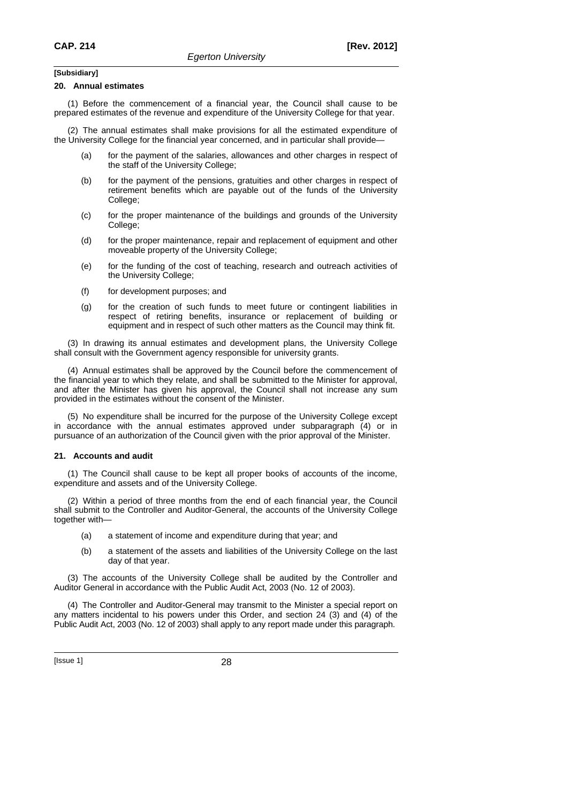#### **20. Annual estimates**

(1) Before the commencement of a financial year, the Council shall cause to be prepared estimates of the revenue and expenditure of the University College for that year.

(2) The annual estimates shall make provisions for all the estimated expenditure of the University College for the financial year concerned, and in particular shall provide—

- (a) for the payment of the salaries, allowances and other charges in respect of the staff of the University College;
- (b) for the payment of the pensions, gratuities and other charges in respect of retirement benefits which are payable out of the funds of the University College;
- (c) for the proper maintenance of the buildings and grounds of the University College:
- (d) for the proper maintenance, repair and replacement of equipment and other moveable property of the University College;
- (e) for the funding of the cost of teaching, research and outreach activities of the University College;
- (f) for development purposes; and
- (g) for the creation of such funds to meet future or contingent liabilities in respect of retiring benefits, insurance or replacement of building or equipment and in respect of such other matters as the Council may think fit.

(3) In drawing its annual estimates and development plans, the University College shall consult with the Government agency responsible for university grants.

(4) Annual estimates shall be approved by the Council before the commencement of the financial year to which they relate, and shall be submitted to the Minister for approval, and after the Minister has given his approval, the Council shall not increase any sum provided in the estimates without the consent of the Minister.

(5) No expenditure shall be incurred for the purpose of the University College except in accordance with the annual estimates approved under subparagraph (4) or in pursuance of an authorization of the Council given with the prior approval of the Minister.

#### **21. Accounts and audit**

(1) The Council shall cause to be kept all proper books of accounts of the income, expenditure and assets and of the University College.

(2) Within a period of three months from the end of each financial year, the Council shall submit to the Controller and Auditor-General, the accounts of the University College together with—

- (a) a statement of income and expenditure during that year; and
- (b) a statement of the assets and liabilities of the University College on the last day of that year.

(3) The accounts of the University College shall be audited by the Controller and Auditor General in accordance with the Public Audit Act, 2003 (No. 12 of 2003).

(4) The Controller and Auditor-General may transmit to the Minister a special report on any matters incidental to his powers under this Order, and section 24 (3) and (4) of the Public Audit Act, 2003 (No. 12 of 2003) shall apply to any report made under this paragraph.

[Issue 1] 28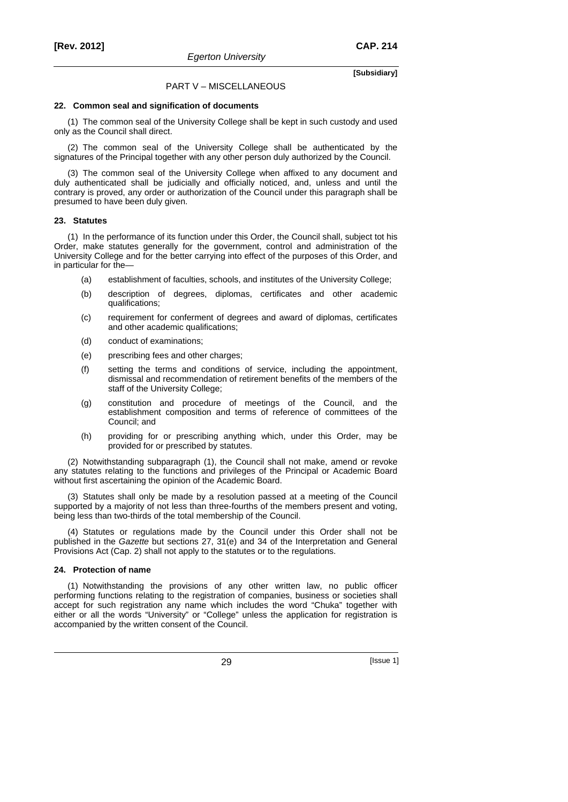### PART V – MISCELLANEOUS

#### **22. Common seal and signification of documents**

(1) The common seal of the University College shall be kept in such custody and used only as the Council shall direct.

(2) The common seal of the University College shall be authenticated by the signatures of the Principal together with any other person duly authorized by the Council.

(3) The common seal of the University College when affixed to any document and duly authenticated shall be judicially and officially noticed, and, unless and until the contrary is proved, any order or authorization of the Council under this paragraph shall be presumed to have been duly given.

#### **23. Statutes**

(1) In the performance of its function under this Order, the Council shall, subject tot his Order, make statutes generally for the government, control and administration of the University College and for the better carrying into effect of the purposes of this Order, and in particular for the—

- (a) establishment of faculties, schools, and institutes of the University College;
- (b) description of degrees, diplomas, certificates and other academic qualifications;
- (c) requirement for conferment of degrees and award of diplomas, certificates and other academic qualifications;
- (d) conduct of examinations;
- (e) prescribing fees and other charges;
- (f) setting the terms and conditions of service, including the appointment, dismissal and recommendation of retirement benefits of the members of the staff of the University College;
- (g) constitution and procedure of meetings of the Council, and the establishment composition and terms of reference of committees of the Council; and
- (h) providing for or prescribing anything which, under this Order, may be provided for or prescribed by statutes.

(2) Notwithstanding subparagraph (1), the Council shall not make, amend or revoke any statutes relating to the functions and privileges of the Principal or Academic Board without first ascertaining the opinion of the Academic Board.

(3) Statutes shall only be made by a resolution passed at a meeting of the Council supported by a majority of not less than three-fourths of the members present and voting, being less than two-thirds of the total membership of the Council.

(4) Statutes or regulations made by the Council under this Order shall not be published in the *Gazette* but sections 27, 31(e) and 34 of the Interpretation and General Provisions Act (Cap. 2) shall not apply to the statutes or to the regulations.

### **24. Protection of name**

(1) Notwithstanding the provisions of any other written law, no public officer performing functions relating to the registration of companies, business or societies shall accept for such registration any name which includes the word "Chuka" together with either or all the words "University" or "College" unless the application for registration is accompanied by the written consent of the Council.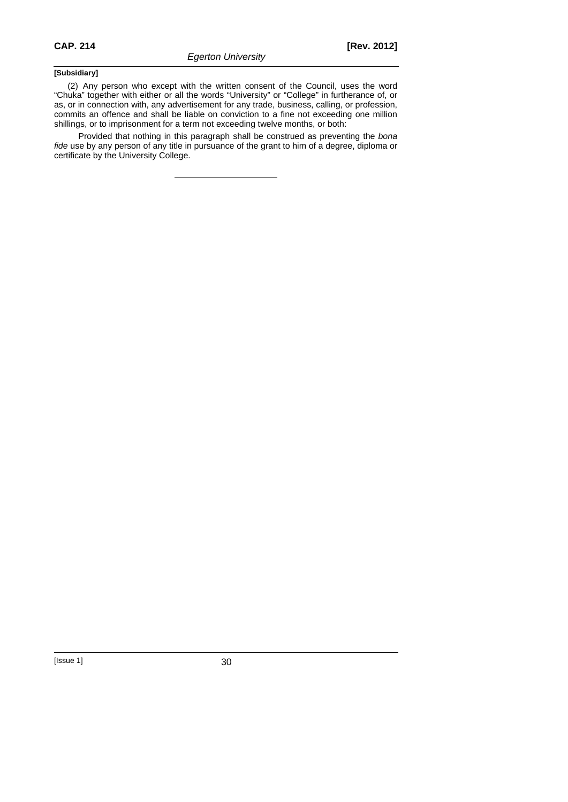(2) Any person who except with the written consent of the Council, uses the word "Chuka" together with either or all the words "University" or "College" in furtherance of, or as, or in connection with, any advertisement for any trade, business, calling, or profession, commits an offence and shall be liable on conviction to a fine not exceeding one million shillings, or to imprisonment for a term not exceeding twelve months, or both:

Provided that nothing in this paragraph shall be construed as preventing the *bona fide* use by any person of any title in pursuance of the grant to him of a degree, diploma or certificate by the University College.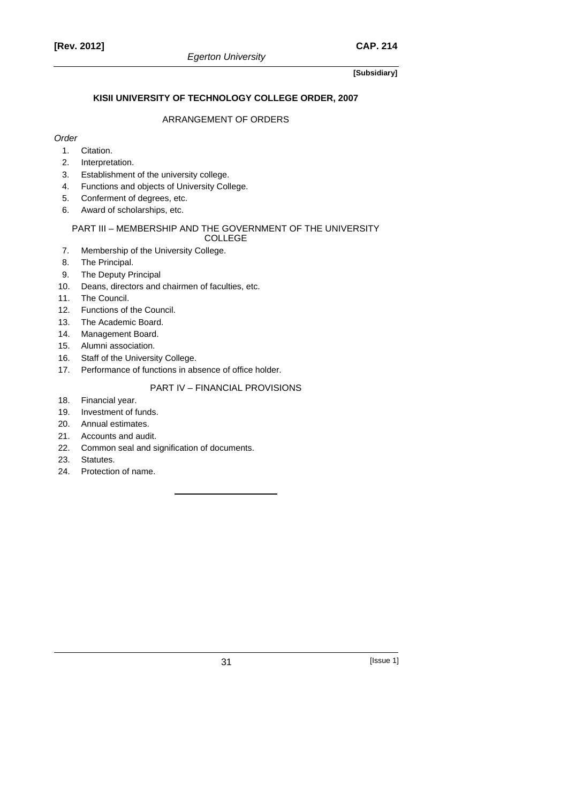# **KISII UNIVERSITY OF TECHNOLOGY COLLEGE ORDER, 2007**

# ARRANGEMENT OF ORDERS

# *Order*

- 1. Citation.
- 2. Interpretation.
- 3. Establishment of the university college.
- 4. Functions and objects of University College.
- 5. Conferment of degrees, etc.
- 6. Award of scholarships, etc.

#### PART III – MEMBERSHIP AND THE GOVERNMENT OF THE UNIVERSITY COLLEGE

- 7. Membership of the University College.
- 8. The Principal.
- 9. The Deputy Principal
- 10. Deans, directors and chairmen of faculties, etc.
- 11. The Council.
- 12. Functions of the Council.
- 13. The Academic Board.
- 14. Management Board.
- 15. Alumni association.
- 16. Staff of the University College.
- 17. Performance of functions in absence of office holder.

# PART IV – FINANCIAL PROVISIONS

- 18. Financial year.
- 19. Investment of funds.
- 20. Annual estimates.
- 21. Accounts and audit.
- 22. Common seal and signification of documents.
- 23. Statutes.
- 24. Protection of name.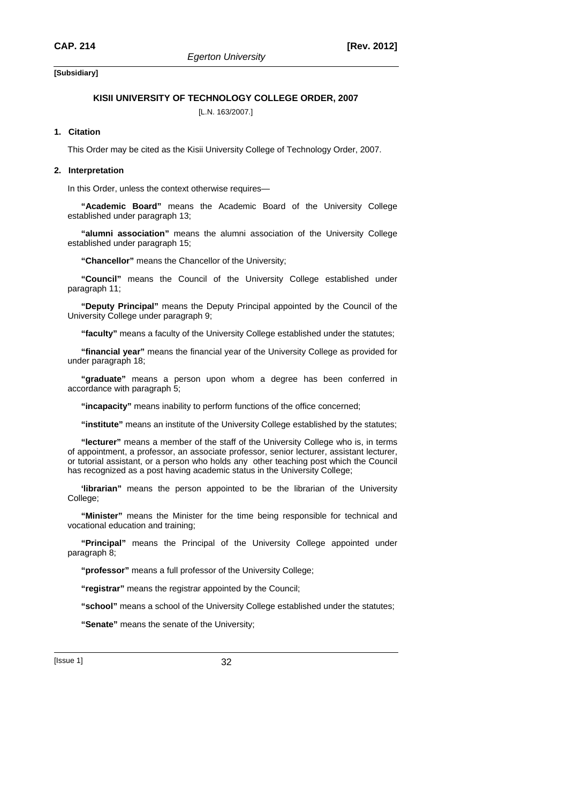### **KISII UNIVERSITY OF TECHNOLOGY COLLEGE ORDER, 2007**

[L.N. 163/2007.]

### **1. Citation**

This Order may be cited as the Kisii University College of Technology Order, 2007.

#### **2. Interpretation**

In this Order, unless the context otherwise requires—

**"Academic Board"** means the Academic Board of the University College established under paragraph 13;

**"alumni association"** means the alumni association of the University College established under paragraph 15;

**"Chancellor"** means the Chancellor of the University;

**"Council"** means the Council of the University College established under paragraph 11;

**"Deputy Principal"** means the Deputy Principal appointed by the Council of the University College under paragraph 9;

**"faculty"** means a faculty of the University College established under the statutes;

**"financial year"** means the financial year of the University College as provided for under paragraph 18;

**"graduate"** means a person upon whom a degree has been conferred in accordance with paragraph 5;

**"incapacity"** means inability to perform functions of the office concerned;

**"institute"** means an institute of the University College established by the statutes;

**"lecturer"** means a member of the staff of the University College who is, in terms of appointment, a professor, an associate professor, senior lecturer, assistant lecturer, or tutorial assistant, or a person who holds any other teaching post which the Council has recognized as a post having academic status in the University College;

**'librarian"** means the person appointed to be the librarian of the University College;

**"Minister"** means the Minister for the time being responsible for technical and vocational education and training;

**"Principal"** means the Principal of the University College appointed under paragraph 8;

**"professor"** means a full professor of the University College;

**"registrar"** means the registrar appointed by the Council;

**"school"** means a school of the University College established under the statutes;

**"Senate"** means the senate of the University;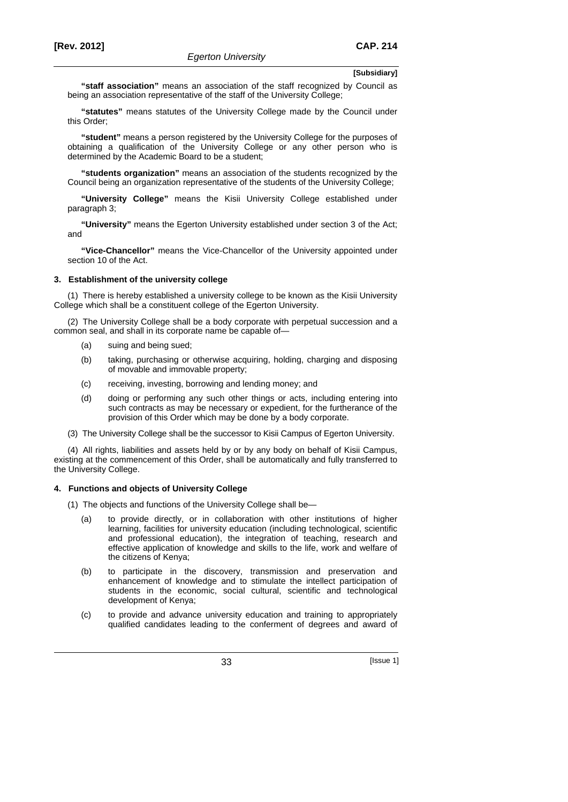**"staff association"** means an association of the staff recognized by Council as being an association representative of the staff of the University College;

**"statutes"** means statutes of the University College made by the Council under this Order;

**"student"** means a person registered by the University College for the purposes of obtaining a qualification of the University College or any other person who is determined by the Academic Board to be a student;

**"students organization"** means an association of the students recognized by the Council being an organization representative of the students of the University College;

**"University College"** means the Kisii University College established under paragraph 3;

**"University"** means the Egerton University established under section 3 of the Act; and

**"Vice-Chancellor"** means the Vice-Chancellor of the University appointed under section 10 of the Act.

#### **3. Establishment of the university college**

(1) There is hereby established a university college to be known as the Kisii University College which shall be a constituent college of the Egerton University.

(2) The University College shall be a body corporate with perpetual succession and a common seal, and shall in its corporate name be capable of—

- (a) suing and being sued;
- (b) taking, purchasing or otherwise acquiring, holding, charging and disposing of movable and immovable property;
- (c) receiving, investing, borrowing and lending money; and
- (d) doing or performing any such other things or acts, including entering into such contracts as may be necessary or expedient, for the furtherance of the provision of this Order which may be done by a body corporate.
- (3) The University College shall be the successor to Kisii Campus of Egerton University.

(4) All rights, liabilities and assets held by or by any body on behalf of Kisii Campus, existing at the commencement of this Order, shall be automatically and fully transferred to the University College.

### **4. Functions and objects of University College**

- (1) The objects and functions of the University College shall be—
	- (a) to provide directly, or in collaboration with other institutions of higher learning, facilities for university education (including technological, scientific and professional education), the integration of teaching, research and effective application of knowledge and skills to the life, work and welfare of the citizens of Kenya;
- (b) to participate in the discovery, transmission and preservation and enhancement of knowledge and to stimulate the intellect participation of students in the economic, social cultural, scientific and technological development of Kenya;
	- (c) to provide and advance university education and training to appropriately qualified candidates leading to the conferment of degrees and award of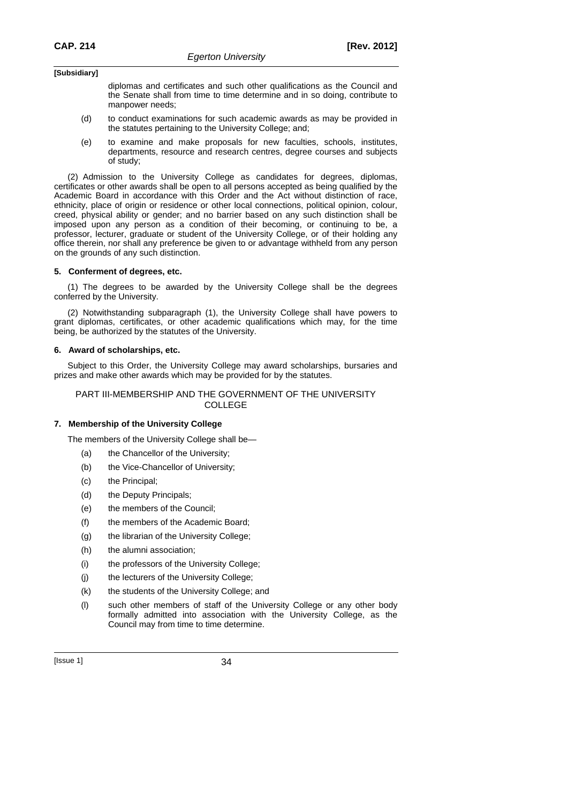diplomas and certificates and such other qualifications as the Council and the Senate shall from time to time determine and in so doing, contribute to manpower needs;

- (d) to conduct examinations for such academic awards as may be provided in the statutes pertaining to the University College; and;
- (e) to examine and make proposals for new faculties, schools, institutes, departments, resource and research centres, degree courses and subjects of study;

(2) Admission to the University College as candidates for degrees, diplomas, certificates or other awards shall be open to all persons accepted as being qualified by the Academic Board in accordance with this Order and the Act without distinction of race, ethnicity, place of origin or residence or other local connections, political opinion, colour, creed, physical ability or gender; and no barrier based on any such distinction shall be imposed upon any person as a condition of their becoming, or continuing to be, a professor, lecturer, graduate or student of the University College, or of their holding any office therein, nor shall any preference be given to or advantage withheld from any person on the grounds of any such distinction.

## **5. Conferment of degrees, etc.**

(1) The degrees to be awarded by the University College shall be the degrees conferred by the University.

(2) Notwithstanding subparagraph (1), the University College shall have powers to grant diplomas, certificates, or other academic qualifications which may, for the time being, be authorized by the statutes of the University.

### **6. Award of scholarships, etc.**

Subject to this Order, the University College may award scholarships, bursaries and prizes and make other awards which may be provided for by the statutes.

PART III-MEMBERSHIP AND THE GOVERNMENT OF THE UNIVERSITY COLLEGE

#### **7. Membership of the University College**

The members of the University College shall be—

- (a) the Chancellor of the University;
- (b) the Vice-Chancellor of University;
- (c) the Principal;
- (d) the Deputy Principals;
- (e) the members of the Council;
- (f) the members of the Academic Board;
- (g) the librarian of the University College;
- (h) the alumni association;
- (i) the professors of the University College;
- (j) the lecturers of the University College;
- (k) the students of the University College; and
- (l) such other members of staff of the University College or any other body formally admitted into association with the University College, as the Council may from time to time determine.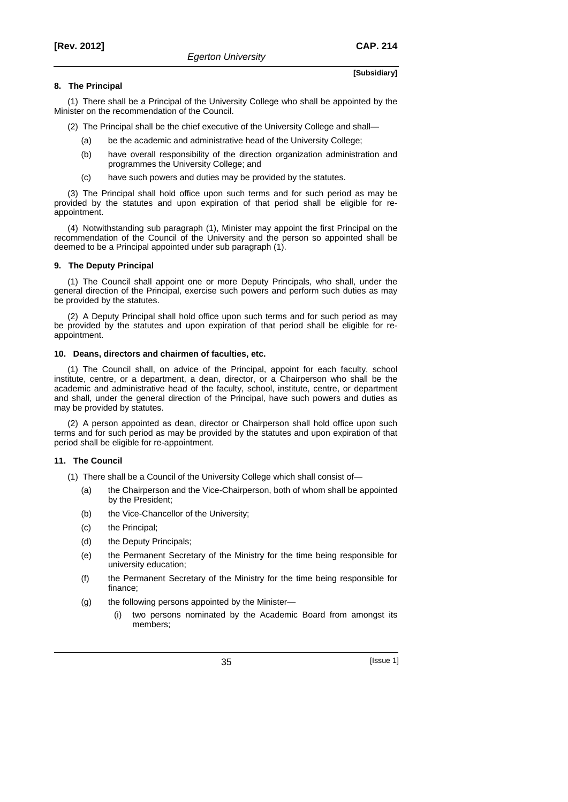### **8. The Principal**

(1) There shall be a Principal of the University College who shall be appointed by the Minister on the recommendation of the Council.

- (2) The Principal shall be the chief executive of the University College and shall—
	- (a) be the academic and administrative head of the University College;
	- (b) have overall responsibility of the direction organization administration and programmes the University College; and
	- (c) have such powers and duties may be provided by the statutes.

(3) The Principal shall hold office upon such terms and for such period as may be provided by the statutes and upon expiration of that period shall be eligible for reappointment.

(4) Notwithstanding sub paragraph (1), Minister may appoint the first Principal on the recommendation of the Council of the University and the person so appointed shall be deemed to be a Principal appointed under sub paragraph (1).

#### **9. The Deputy Principal**

(1) The Council shall appoint one or more Deputy Principals, who shall, under the general direction of the Principal, exercise such powers and perform such duties as may be provided by the statutes.

(2) A Deputy Principal shall hold office upon such terms and for such period as may be provided by the statutes and upon expiration of that period shall be eligible for reappointment.

#### **10. Deans, directors and chairmen of faculties, etc.**

(1) The Council shall, on advice of the Principal, appoint for each faculty, school institute, centre, or a department, a dean, director, or a Chairperson who shall be the academic and administrative head of the faculty, school, institute, centre, or department and shall, under the general direction of the Principal, have such powers and duties as may be provided by statutes.

(2) A person appointed as dean, director or Chairperson shall hold office upon such terms and for such period as may be provided by the statutes and upon expiration of that period shall be eligible for re-appointment.

#### **11. The Council**

- (1) There shall be a Council of the University College which shall consist of—
	- (a) the Chairperson and the Vice-Chairperson, both of whom shall be appointed by the President;
	- (b) the Vice-Chancellor of the University;
	- (c) the Principal;
	- (d) the Deputy Principals;
	- (e) the Permanent Secretary of the Ministry for the time being responsible for university education;
	- (f) the Permanent Secretary of the Ministry for the time being responsible for finance;
	- (g) the following persons appointed by the Minister—
		- (i) two persons nominated by the Academic Board from amongst its members;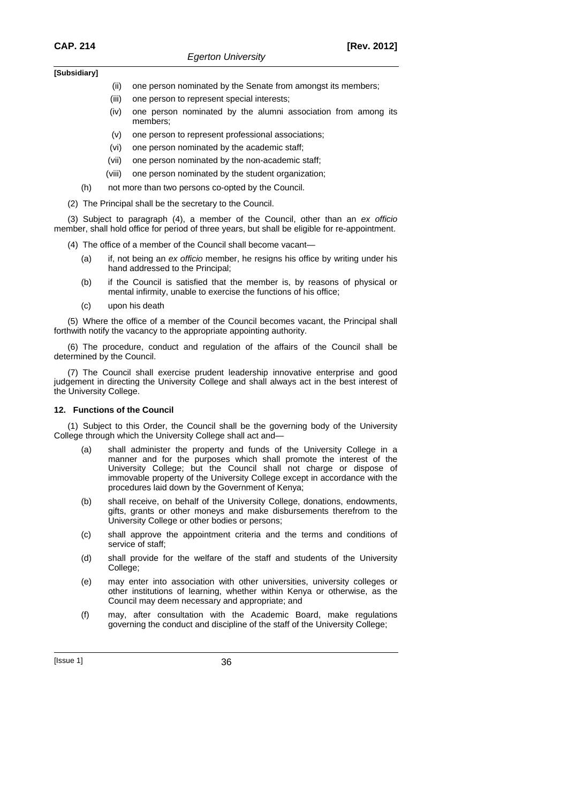- (ii) one person nominated by the Senate from amongst its members;
- (iii) one person to represent special interests;
- (iv) one person nominated by the alumni association from among its members;
- (v) one person to represent professional associations;
- (vi) one person nominated by the academic staff;
- (vii) one person nominated by the non-academic staff;
- (viii) one person nominated by the student organization;
- (h) not more than two persons co-opted by the Council.
- (2) The Principal shall be the secretary to the Council.

(3) Subject to paragraph (4), a member of the Council, other than an *ex officio* member, shall hold office for period of three years, but shall be eligible for re-appointment.

- (4) The office of a member of the Council shall become vacant—
	- (a) if, not being an *ex officio* member, he resigns his office by writing under his hand addressed to the Principal;
	- (b) if the Council is satisfied that the member is, by reasons of physical or mental infirmity, unable to exercise the functions of his office;
	- (c) upon his death

(5) Where the office of a member of the Council becomes vacant, the Principal shall forthwith notify the vacancy to the appropriate appointing authority.

(6) The procedure, conduct and regulation of the affairs of the Council shall be determined by the Council.

(7) The Council shall exercise prudent leadership innovative enterprise and good judgement in directing the University College and shall always act in the best interest of the University College.

#### **12. Functions of the Council**

(1) Subject to this Order, the Council shall be the governing body of the University College through which the University College shall act and—

- (a) shall administer the property and funds of the University College in a manner and for the purposes which shall promote the interest of the University College; but the Council shall not charge or dispose of immovable property of the University College except in accordance with the procedures laid down by the Government of Kenya;
- (b) shall receive, on behalf of the University College, donations, endowments, gifts, grants or other moneys and make disbursements therefrom to the University College or other bodies or persons;
- (c) shall approve the appointment criteria and the terms and conditions of service of staff;
- (d) shall provide for the welfare of the staff and students of the University College;
- (e) may enter into association with other universities, university colleges or other institutions of learning, whether within Kenya or otherwise, as the Council may deem necessary and appropriate; and
- (f) may, after consultation with the Academic Board, make regulations governing the conduct and discipline of the staff of the University College;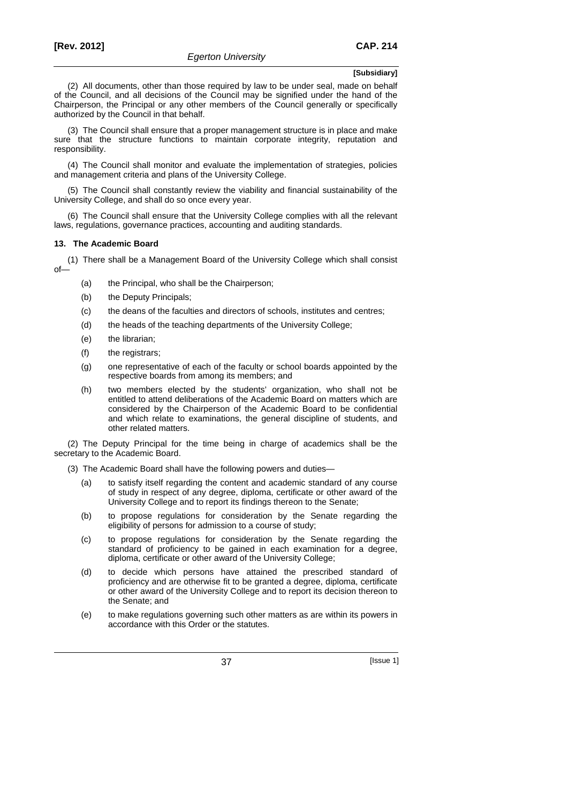(2) All documents, other than those required by law to be under seal, made on behalf of the Council, and all decisions of the Council may be signified under the hand of the Chairperson, the Principal or any other members of the Council generally or specifically authorized by the Council in that behalf.

(3) The Council shall ensure that a proper management structure is in place and make sure that the structure functions to maintain corporate integrity, reputation and responsibility.

(4) The Council shall monitor and evaluate the implementation of strategies, policies and management criteria and plans of the University College.

(5) The Council shall constantly review the viability and financial sustainability of the University College, and shall do so once every year.

(6) The Council shall ensure that the University College complies with all the relevant laws, regulations, governance practices, accounting and auditing standards.

### **13. The Academic Board**

(1) There shall be a Management Board of the University College which shall consist  $\sim$ f-

- (a) the Principal, who shall be the Chairperson;
- (b) the Deputy Principals;
- (c) the deans of the faculties and directors of schools, institutes and centres;
- (d) the heads of the teaching departments of the University College;
- (e) the librarian;
- (f) the registrars;
- (g) one representative of each of the faculty or school boards appointed by the respective boards from among its members; and
- (h) two members elected by the students' organization, who shall not be entitled to attend deliberations of the Academic Board on matters which are considered by the Chairperson of the Academic Board to be confidential and which relate to examinations, the general discipline of students, and other related matters.

(2) The Deputy Principal for the time being in charge of academics shall be the secretary to the Academic Board.

- (3) The Academic Board shall have the following powers and duties—
	- (a) to satisfy itself regarding the content and academic standard of any course of study in respect of any degree, diploma, certificate or other award of the University College and to report its findings thereon to the Senate;
	- (b) to propose regulations for consideration by the Senate regarding the eligibility of persons for admission to a course of study;
	- (c) to propose regulations for consideration by the Senate regarding the standard of proficiency to be gained in each examination for a degree, diploma, certificate or other award of the University College;
	- (d) to decide which persons have attained the prescribed standard of proficiency and are otherwise fit to be granted a degree, diploma, certificate or other award of the University College and to report its decision thereon to the Senate; and
	- (e) to make regulations governing such other matters as are within its powers in accordance with this Order or the statutes.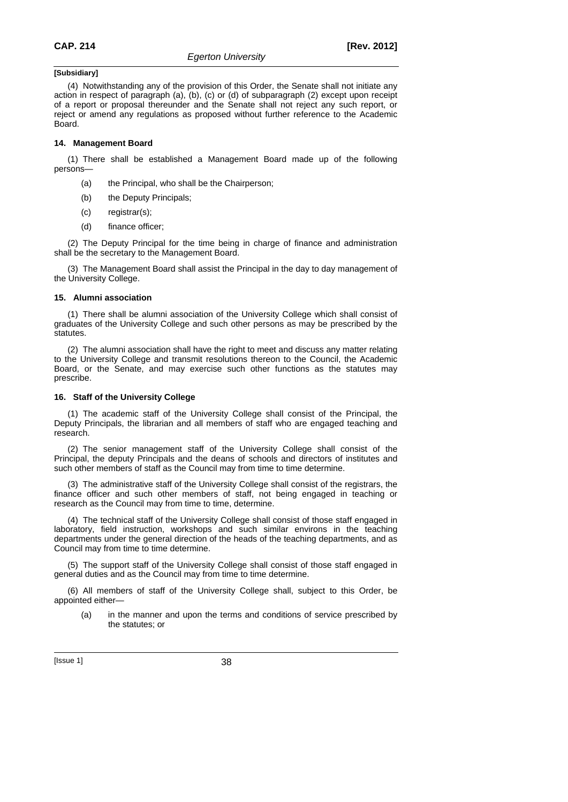(4) Notwithstanding any of the provision of this Order, the Senate shall not initiate any action in respect of paragraph (a), (b), (c) or (d) of subparagraph (2) except upon receipt of a report or proposal thereunder and the Senate shall not reject any such report, or reject or amend any regulations as proposed without further reference to the Academic Board.

### **14. Management Board**

(1) There shall be established a Management Board made up of the following persons—

- (a) the Principal, who shall be the Chairperson;
- (b) the Deputy Principals;
- (c) registrar(s);
- (d) finance officer;

(2) The Deputy Principal for the time being in charge of finance and administration shall be the secretary to the Management Board.

(3) The Management Board shall assist the Principal in the day to day management of the University College.

#### **15. Alumni association**

(1) There shall be alumni association of the University College which shall consist of graduates of the University College and such other persons as may be prescribed by the statutes.

(2) The alumni association shall have the right to meet and discuss any matter relating to the University College and transmit resolutions thereon to the Council, the Academic Board, or the Senate, and may exercise such other functions as the statutes may prescribe.

#### **16. Staff of the University College**

(1) The academic staff of the University College shall consist of the Principal, the Deputy Principals, the librarian and all members of staff who are engaged teaching and research.

(2) The senior management staff of the University College shall consist of the Principal, the deputy Principals and the deans of schools and directors of institutes and such other members of staff as the Council may from time to time determine.

(3) The administrative staff of the University College shall consist of the registrars, the finance officer and such other members of staff, not being engaged in teaching or research as the Council may from time to time, determine.

(4) The technical staff of the University College shall consist of those staff engaged in laboratory, field instruction, workshops and such similar environs in the teaching departments under the general direction of the heads of the teaching departments, and as Council may from time to time determine.

(5) The support staff of the University College shall consist of those staff engaged in general duties and as the Council may from time to time determine.

(6) All members of staff of the University College shall, subject to this Order, be appointed either—

 (a) in the manner and upon the terms and conditions of service prescribed by the statutes; or

[Issue 1] 38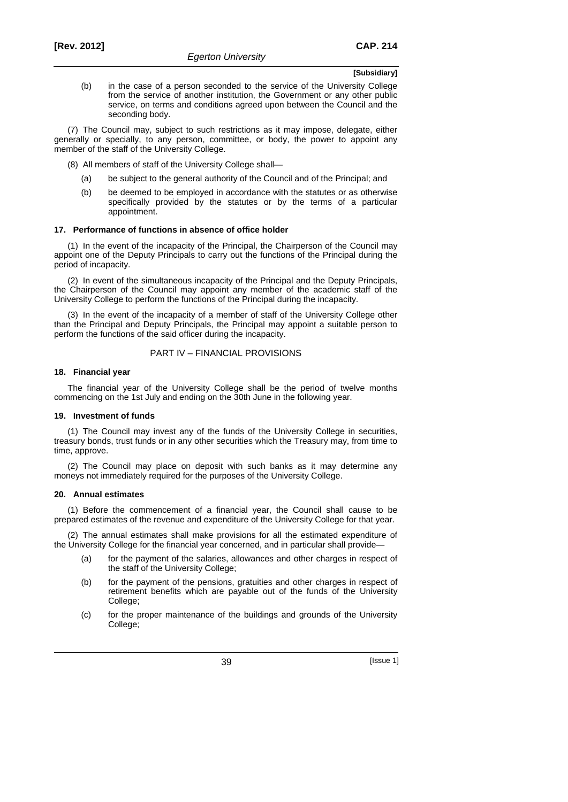(b) in the case of a person seconded to the service of the University College from the service of another institution, the Government or any other public service, on terms and conditions agreed upon between the Council and the seconding body.

(7) The Council may, subject to such restrictions as it may impose, delegate, either generally or specially, to any person, committee, or body, the power to appoint any member of the staff of the University College.

- (8) All members of staff of the University College shall—
	- (a) be subject to the general authority of the Council and of the Principal; and
	- (b) be deemed to be employed in accordance with the statutes or as otherwise specifically provided by the statutes or by the terms of a particular appointment.

### **17. Performance of functions in absence of office holder**

(1) In the event of the incapacity of the Principal, the Chairperson of the Council may appoint one of the Deputy Principals to carry out the functions of the Principal during the period of incapacity.

(2) In event of the simultaneous incapacity of the Principal and the Deputy Principals, the Chairperson of the Council may appoint any member of the academic staff of the University College to perform the functions of the Principal during the incapacity.

(3) In the event of the incapacity of a member of staff of the University College other than the Principal and Deputy Principals, the Principal may appoint a suitable person to perform the functions of the said officer during the incapacity.

### PART IV – FINANCIAL PROVISIONS

#### **18. Financial year**

The financial year of the University College shall be the period of twelve months commencing on the 1st July and ending on the 30th June in the following year.

#### **19. Investment of funds**

(1) The Council may invest any of the funds of the University College in securities, treasury bonds, trust funds or in any other securities which the Treasury may, from time to time, approve.

(2) The Council may place on deposit with such banks as it may determine any moneys not immediately required for the purposes of the University College.

#### **20. Annual estimates**

(1) Before the commencement of a financial year, the Council shall cause to be prepared estimates of the revenue and expenditure of the University College for that year.

(2) The annual estimates shall make provisions for all the estimated expenditure of the University College for the financial year concerned, and in particular shall provide—

- (a) for the payment of the salaries, allowances and other charges in respect of the staff of the University College;
- (b) for the payment of the pensions, gratuities and other charges in respect of retirement benefits which are payable out of the funds of the University College;
- (c) for the proper maintenance of the buildings and grounds of the University College: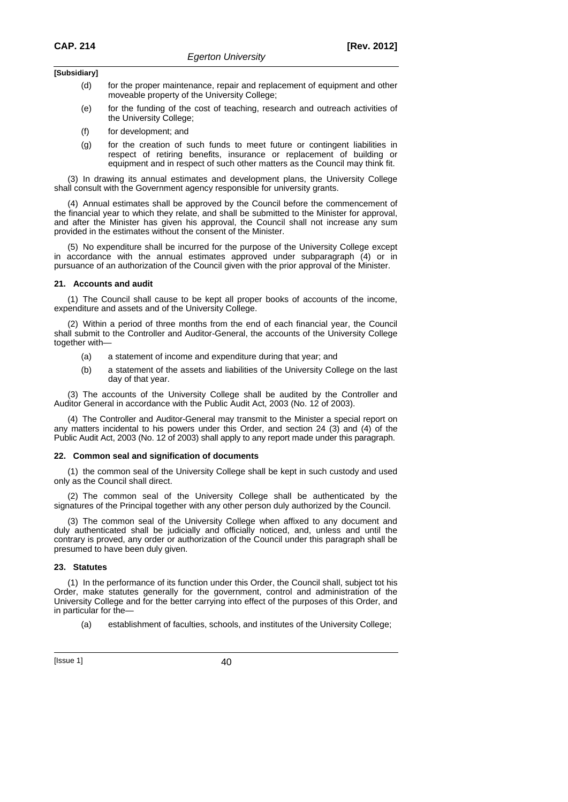- (d) for the proper maintenance, repair and replacement of equipment and other moveable property of the University College;
- (e) for the funding of the cost of teaching, research and outreach activities of the University College;
- (f) for development; and
- (g) for the creation of such funds to meet future or contingent liabilities in respect of retiring benefits, insurance or replacement of building or equipment and in respect of such other matters as the Council may think fit.

(3) In drawing its annual estimates and development plans, the University College shall consult with the Government agency responsible for university grants.

(4) Annual estimates shall be approved by the Council before the commencement of the financial year to which they relate, and shall be submitted to the Minister for approval, and after the Minister has given his approval, the Council shall not increase any sum provided in the estimates without the consent of the Minister.

(5) No expenditure shall be incurred for the purpose of the University College except in accordance with the annual estimates approved under subparagraph (4) or in pursuance of an authorization of the Council given with the prior approval of the Minister.

#### **21. Accounts and audit**

(1) The Council shall cause to be kept all proper books of accounts of the income, expenditure and assets and of the University College.

(2) Within a period of three months from the end of each financial year, the Council shall submit to the Controller and Auditor-General, the accounts of the University College together with—

- (a) a statement of income and expenditure during that year; and
- (b) a statement of the assets and liabilities of the University College on the last day of that year.

(3) The accounts of the University College shall be audited by the Controller and Auditor General in accordance with the Public Audit Act, 2003 (No. 12 of 2003).

(4) The Controller and Auditor-General may transmit to the Minister a special report on any matters incidental to his powers under this Order, and section 24 (3) and (4) of the Public Audit Act, 2003 (No. 12 of 2003) shall apply to any report made under this paragraph.

#### **22. Common seal and signification of documents**

(1) the common seal of the University College shall be kept in such custody and used only as the Council shall direct.

(2) The common seal of the University College shall be authenticated by the signatures of the Principal together with any other person duly authorized by the Council.

(3) The common seal of the University College when affixed to any document and duly authenticated shall be judicially and officially noticed, and, unless and until the contrary is proved, any order or authorization of the Council under this paragraph shall be presumed to have been duly given.

#### **23. Statutes**

(1) In the performance of its function under this Order, the Council shall, subject tot his Order, make statutes generally for the government, control and administration of the University College and for the better carrying into effect of the purposes of this Order, and in particular for the—

(a) establishment of faculties, schools, and institutes of the University College;

[Issue 1] 40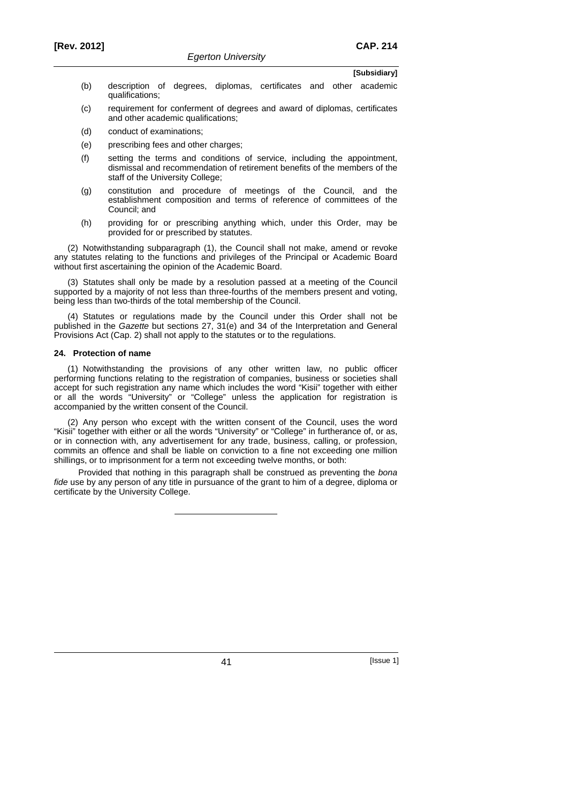- (b) description of degrees, diplomas, certificates and other academic qualifications;
- (c) requirement for conferment of degrees and award of diplomas, certificates and other academic qualifications;
- (d) conduct of examinations;
- (e) prescribing fees and other charges;
- (f) setting the terms and conditions of service, including the appointment, dismissal and recommendation of retirement benefits of the members of the staff of the University College;
- (g) constitution and procedure of meetings of the Council, and the establishment composition and terms of reference of committees of the Council; and
- (h) providing for or prescribing anything which, under this Order, may be provided for or prescribed by statutes.

(2) Notwithstanding subparagraph (1), the Council shall not make, amend or revoke any statutes relating to the functions and privileges of the Principal or Academic Board without first ascertaining the opinion of the Academic Board.

(3) Statutes shall only be made by a resolution passed at a meeting of the Council supported by a majority of not less than three-fourths of the members present and voting, being less than two-thirds of the total membership of the Council.

(4) Statutes or regulations made by the Council under this Order shall not be published in the *Gazette* but sections 27, 31(e) and 34 of the Interpretation and General Provisions Act (Cap. 2) shall not apply to the statutes or to the regulations.

#### **24. Protection of name**

(1) Notwithstanding the provisions of any other written law, no public officer performing functions relating to the registration of companies, business or societies shall accept for such registration any name which includes the word "Kisii" together with either or all the words "University" or "College" unless the application for registration is accompanied by the written consent of the Council.

(2) Any person who except with the written consent of the Council, uses the word "Kisii" together with either or all the words "University" or "College" in furtherance of, or as, or in connection with, any advertisement for any trade, business, calling, or profession, commits an offence and shall be liable on conviction to a fine not exceeding one million shillings, or to imprisonment for a term not exceeding twelve months, or both:

Provided that nothing in this paragraph shall be construed as preventing the *bona fide* use by any person of any title in pursuance of the grant to him of a degree, diploma or certificate by the University College.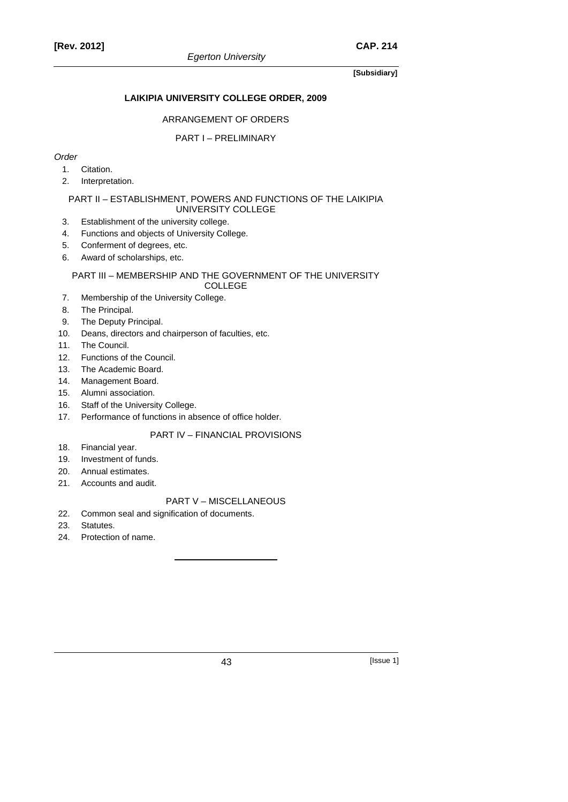# **LAIKIPIA UNIVERSITY COLLEGE ORDER, 2009**

# ARRANGEMENT OF ORDERS

# PART I – PRELIMINARY

## *Order*

- 1. Citation.
- 2. Interpretation.

### PART II – ESTABLISHMENT, POWERS AND FUNCTIONS OF THE LAIKIPIA UNIVERSITY COLLEGE

- 3. Establishment of the university college.
- 4. Functions and objects of University College.
- 5. Conferment of degrees, etc.
- 6. Award of scholarships, etc.

### PART III – MEMBERSHIP AND THE GOVERNMENT OF THE UNIVERSITY COLLEGE

- 7. Membership of the University College.
- 8. The Principal.
- 9. The Deputy Principal.
- 10. Deans, directors and chairperson of faculties, etc.
- 11. The Council.
- 12. Functions of the Council.
- 13. The Academic Board.
- 14. Management Board.
- 15. Alumni association.
- 16. Staff of the University College.
- 17. Performance of functions in absence of office holder.

# PART IV – FINANCIAL PROVISIONS

- 18. Financial year.
- 19. Investment of funds.
- 20. Annual estimates.
- 21. Accounts and audit.

# PART V – MISCELLANEOUS

- 22. Common seal and signification of documents.
- 23. Statutes.
- 24. Protection of name.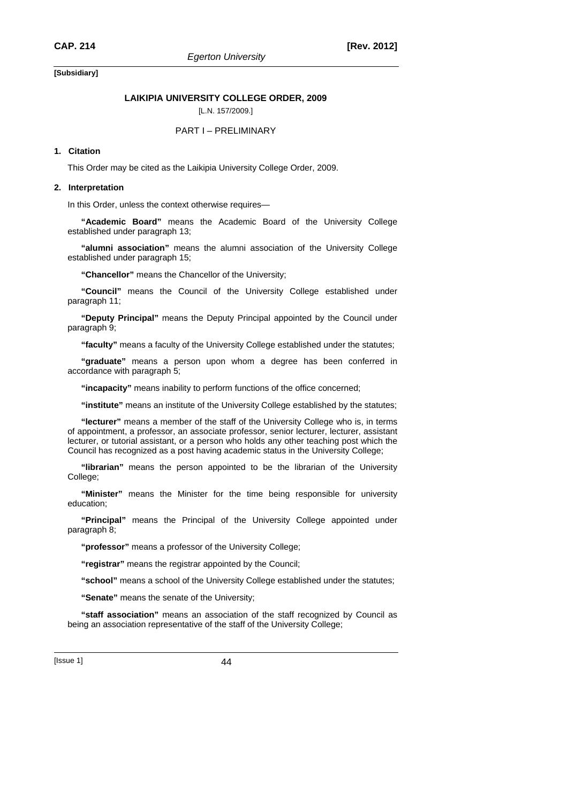# **LAIKIPIA UNIVERSITY COLLEGE ORDER, 2009**

[L.N. 157/2009.]

# PART I – PRELIMINARY

# **1. Citation**

This Order may be cited as the Laikipia University College Order, 2009.

### **2. Interpretation**

In this Order, unless the context otherwise requires—

**"Academic Board"** means the Academic Board of the University College established under paragraph 13;

**"alumni association"** means the alumni association of the University College established under paragraph 15;

**"Chancellor"** means the Chancellor of the University;

**"Council"** means the Council of the University College established under paragraph 11;

**"Deputy Principal"** means the Deputy Principal appointed by the Council under paragraph 9;

**"faculty"** means a faculty of the University College established under the statutes;

**"graduate"** means a person upon whom a degree has been conferred in accordance with paragraph 5;

**"incapacity"** means inability to perform functions of the office concerned;

**"institute"** means an institute of the University College established by the statutes;

**"lecturer"** means a member of the staff of the University College who is, in terms of appointment, a professor, an associate professor, senior lecturer, lecturer, assistant lecturer, or tutorial assistant, or a person who holds any other teaching post which the Council has recognized as a post having academic status in the University College;

**"librarian"** means the person appointed to be the librarian of the University College;

**"Minister"** means the Minister for the time being responsible for university education;

**"Principal"** means the Principal of the University College appointed under paragraph 8;

**"professor"** means a professor of the University College;

**"registrar"** means the registrar appointed by the Council;

**"school"** means a school of the University College established under the statutes;

**"Senate"** means the senate of the University;

**"staff association"** means an association of the staff recognized by Council as being an association representative of the staff of the University College;

[Issue 1] 44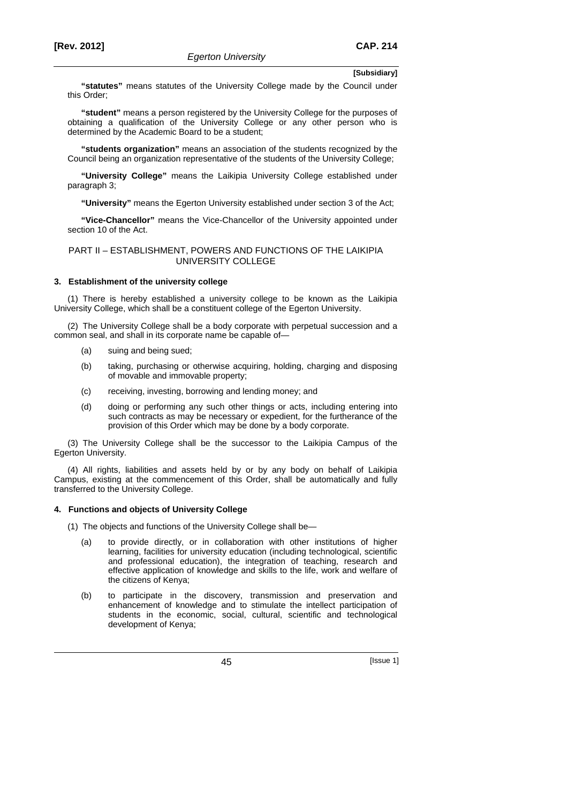**"statutes"** means statutes of the University College made by the Council under this Order;

**"student"** means a person registered by the University College for the purposes of obtaining a qualification of the University College or any other person who is determined by the Academic Board to be a student;

**"students organization"** means an association of the students recognized by the Council being an organization representative of the students of the University College;

**"University College"** means the Laikipia University College established under paragraph 3;

**"University"** means the Egerton University established under section 3 of the Act;

**"Vice-Chancellor"** means the Vice-Chancellor of the University appointed under section 10 of the Act.

### PART II – ESTABLISHMENT, POWERS AND FUNCTIONS OF THE LAIKIPIA UNIVERSITY COLLEGE

### **3. Establishment of the university college**

(1) There is hereby established a university college to be known as the Laikipia University College, which shall be a constituent college of the Egerton University.

(2) The University College shall be a body corporate with perpetual succession and a common seal, and shall in its corporate name be capable of—

- (a) suing and being sued;
- (b) taking, purchasing or otherwise acquiring, holding, charging and disposing of movable and immovable property;
- (c) receiving, investing, borrowing and lending money; and
- (d) doing or performing any such other things or acts, including entering into such contracts as may be necessary or expedient, for the furtherance of the provision of this Order which may be done by a body corporate.

(3) The University College shall be the successor to the Laikipia Campus of the Egerton University.

(4) All rights, liabilities and assets held by or by any body on behalf of Laikipia Campus, existing at the commencement of this Order, shall be automatically and fully transferred to the University College.

#### **4. Functions and objects of University College**

- (1) The objects and functions of the University College shall be—
	- (a) to provide directly, or in collaboration with other institutions of higher learning, facilities for university education (including technological, scientific and professional education), the integration of teaching, research and effective application of knowledge and skills to the life, work and welfare of the citizens of Kenya;
	- (b) to participate in the discovery, transmission and preservation and enhancement of knowledge and to stimulate the intellect participation of students in the economic, social, cultural, scientific and technological development of Kenya;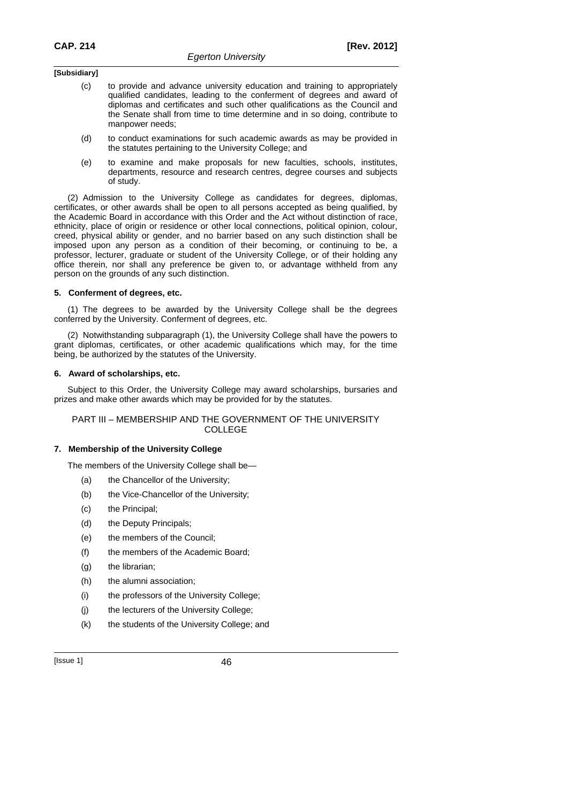- (c) to provide and advance university education and training to appropriately qualified candidates, leading to the conferment of degrees and award of diplomas and certificates and such other qualifications as the Council and the Senate shall from time to time determine and in so doing, contribute to manpower needs;
- (d) to conduct examinations for such academic awards as may be provided in the statutes pertaining to the University College; and
- (e) to examine and make proposals for new faculties, schools, institutes, departments, resource and research centres, degree courses and subjects of study.

(2) Admission to the University College as candidates for degrees, diplomas, certificates, or other awards shall be open to all persons accepted as being qualified, by the Academic Board in accordance with this Order and the Act without distinction of race, ethnicity, place of origin or residence or other local connections, political opinion, colour, creed, physical ability or gender, and no barrier based on any such distinction shall be imposed upon any person as a condition of their becoming, or continuing to be, a professor, lecturer, graduate or student of the University College, or of their holding any office therein, nor shall any preference be given to, or advantage withheld from any person on the grounds of any such distinction.

### **5. Conferment of degrees, etc.**

(1) The degrees to be awarded by the University College shall be the degrees conferred by the University. Conferment of degrees, etc.

(2) Notwithstanding subparagraph (1), the University College shall have the powers to grant diplomas, certificates, or other academic qualifications which may, for the time being, be authorized by the statutes of the University.

### **6. Award of scholarships, etc.**

Subject to this Order, the University College may award scholarships, bursaries and prizes and make other awards which may be provided for by the statutes.

## PART III – MEMBERSHIP AND THE GOVERNMENT OF THE UNIVERSITY COLLEGE

### **7. Membership of the University College**

The members of the University College shall be—

- (a) the Chancellor of the University;
- (b) the Vice-Chancellor of the University;
- (c) the Principal;
- (d) the Deputy Principals;
- (e) the members of the Council;
- (f) the members of the Academic Board;
- (g) the librarian;
- (h) the alumni association;
- (i) the professors of the University College;
- (j) the lecturers of the University College;
- (k) the students of the University College; and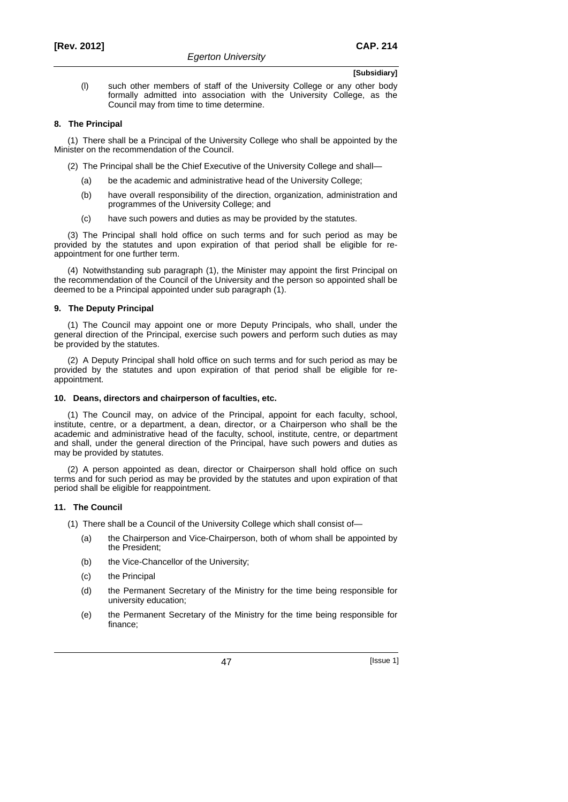(l) such other members of staff of the University College or any other body formally admitted into association with the University College, as the Council may from time to time determine.

### **8. The Principal**

(1) There shall be a Principal of the University College who shall be appointed by the Minister on the recommendation of the Council.

- (2) The Principal shall be the Chief Executive of the University College and shall—
	- (a) be the academic and administrative head of the University College;
	- (b) have overall responsibility of the direction, organization, administration and programmes of the University College; and
	- (c) have such powers and duties as may be provided by the statutes.

(3) The Principal shall hold office on such terms and for such period as may be provided by the statutes and upon expiration of that period shall be eligible for reappointment for one further term.

(4) Notwithstanding sub paragraph (1), the Minister may appoint the first Principal on the recommendation of the Council of the University and the person so appointed shall be deemed to be a Principal appointed under sub paragraph (1).

### **9. The Deputy Principal**

(1) The Council may appoint one or more Deputy Principals, who shall, under the general direction of the Principal, exercise such powers and perform such duties as may be provided by the statutes.

(2) A Deputy Principal shall hold office on such terms and for such period as may be provided by the statutes and upon expiration of that period shall be eligible for reappointment.

#### **10. Deans, directors and chairperson of faculties, etc.**

(1) The Council may, on advice of the Principal, appoint for each faculty, school, institute, centre, or a department, a dean, director, or a Chairperson who shall be the academic and administrative head of the faculty, school, institute, centre, or department and shall, under the general direction of the Principal, have such powers and duties as may be provided by statutes.

(2) A person appointed as dean, director or Chairperson shall hold office on such terms and for such period as may be provided by the statutes and upon expiration of that period shall be eligible for reappointment.

### **11. The Council**

- (1) There shall be a Council of the University College which shall consist of—
	- (a) the Chairperson and Vice-Chairperson, both of whom shall be appointed by the President;
	- (b) the Vice-Chancellor of the University;
	- (c) the Principal
	- (d) the Permanent Secretary of the Ministry for the time being responsible for university education;
	- (e) the Permanent Secretary of the Ministry for the time being responsible for finance;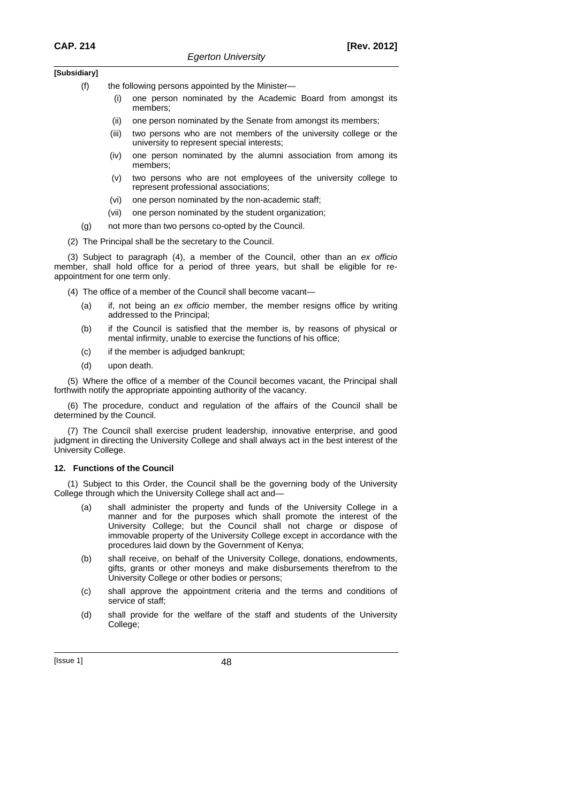- (f) the following persons appointed by the Minister
	- one person nominated by the Academic Board from amongst its members;
	- (ii) one person nominated by the Senate from amongst its members;
	- (iii) two persons who are not members of the university college or the university to represent special interests;
	- (iv) one person nominated by the alumni association from among its members;
	- (v) two persons who are not employees of the university college to represent professional associations;
	- (vi) one person nominated by the non-academic staff;
	- (vii) one person nominated by the student organization;
- (g) not more than two persons co-opted by the Council.
- (2) The Principal shall be the secretary to the Council.

(3) Subject to paragraph (4), a member of the Council, other than an *ex officio* member, shall hold office for a period of three years, but shall be eligible for reappointment for one term only.

(4) The office of a member of the Council shall become vacant—

- (a) if, not being an *ex officio* member, the member resigns office by writing addressed to the Principal;
- (b) if the Council is satisfied that the member is, by reasons of physical or mental infirmity, unable to exercise the functions of his office;
- (c) if the member is adjudged bankrupt;
- (d) upon death.

(5) Where the office of a member of the Council becomes vacant, the Principal shall forthwith notify the appropriate appointing authority of the vacancy.

(6) The procedure, conduct and regulation of the affairs of the Council shall be determined by the Council.

(7) The Council shall exercise prudent leadership, innovative enterprise, and good judgment in directing the University College and shall always act in the best interest of the University College.

#### **12. Functions of the Council**

(1) Subject to this Order, the Council shall be the governing body of the University College through which the University College shall act and—

- (a) shall administer the property and funds of the University College in a manner and for the purposes which shall promote the interest of the University College; but the Council shall not charge or dispose of immovable property of the University College except in accordance with the procedures laid down by the Government of Kenya;
- (b) shall receive, on behalf of the University College, donations, endowments, gifts, grants or other moneys and make disbursements therefrom to the University College or other bodies or persons;
- (c) shall approve the appointment criteria and the terms and conditions of service of staff;
- (d) shall provide for the welfare of the staff and students of the University College: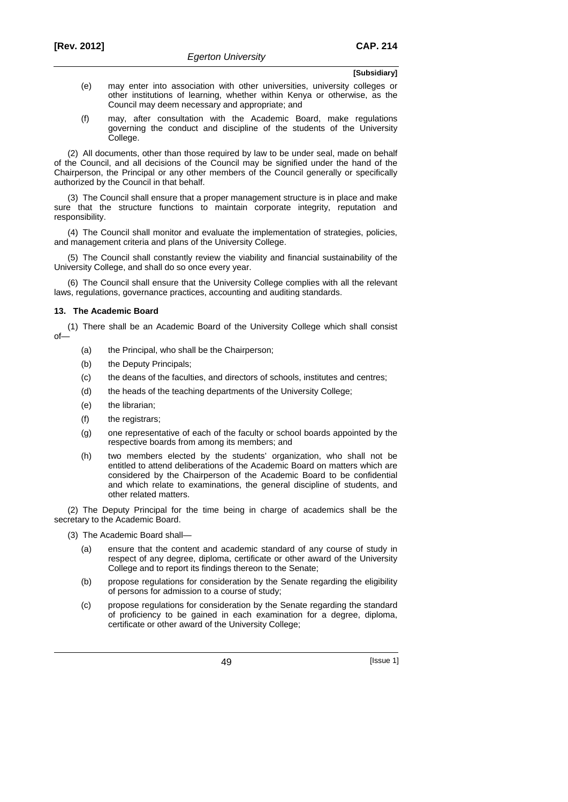- (e) may enter into association with other universities, university colleges or other institutions of learning, whether within Kenya or otherwise, as the Council may deem necessary and appropriate; and
- (f) may, after consultation with the Academic Board, make regulations governing the conduct and discipline of the students of the University College.

(2) All documents, other than those required by law to be under seal, made on behalf of the Council, and all decisions of the Council may be signified under the hand of the Chairperson, the Principal or any other members of the Council generally or specifically authorized by the Council in that behalf.

(3) The Council shall ensure that a proper management structure is in place and make sure that the structure functions to maintain corporate integrity, reputation and responsibility.

(4) The Council shall monitor and evaluate the implementation of strategies, policies, and management criteria and plans of the University College.

(5) The Council shall constantly review the viability and financial sustainability of the University College, and shall do so once every year.

(6) The Council shall ensure that the University College complies with all the relevant laws, regulations, governance practices, accounting and auditing standards.

### **13. The Academic Board**

(1) There shall be an Academic Board of the University College which shall consist of—

- (a) the Principal, who shall be the Chairperson:
- (b) the Deputy Principals;
- (c) the deans of the faculties, and directors of schools, institutes and centres;
- (d) the heads of the teaching departments of the University College;
- (e) the librarian;
- (f) the registrars;
- (g) one representative of each of the faculty or school boards appointed by the respective boards from among its members; and
- (h) two members elected by the students' organization, who shall not be entitled to attend deliberations of the Academic Board on matters which are considered by the Chairperson of the Academic Board to be confidential and which relate to examinations, the general discipline of students, and other related matters.

(2) The Deputy Principal for the time being in charge of academics shall be the secretary to the Academic Board.

- (3) The Academic Board shall—
	- (a) ensure that the content and academic standard of any course of study in respect of any degree, diploma, certificate or other award of the University College and to report its findings thereon to the Senate;
	- (b) propose regulations for consideration by the Senate regarding the eligibility of persons for admission to a course of study;
	- (c) propose regulations for consideration by the Senate regarding the standard of proficiency to be gained in each examination for a degree, diploma, certificate or other award of the University College;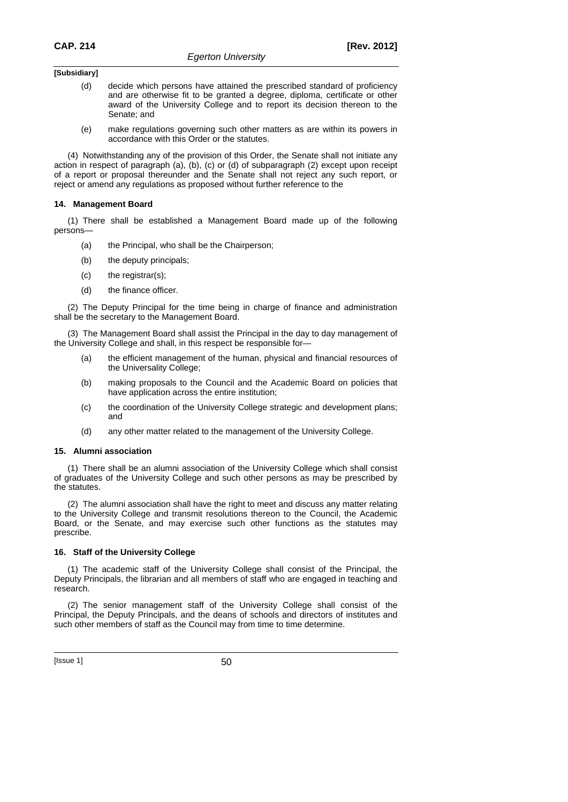- (d) decide which persons have attained the prescribed standard of proficiency and are otherwise fit to be granted a degree, diploma, certificate or other award of the University College and to report its decision thereon to the Senate; and
- (e) make regulations governing such other matters as are within its powers in accordance with this Order or the statutes.

(4) Notwithstanding any of the provision of this Order, the Senate shall not initiate any action in respect of paragraph (a), (b), (c) or (d) of subparagraph (2) except upon receipt of a report or proposal thereunder and the Senate shall not reject any such report, or reject or amend any regulations as proposed without further reference to the

### **14. Management Board**

(1) There shall be established a Management Board made up of the following persons—

- (a) the Principal, who shall be the Chairperson;
- (b) the deputy principals;
- (c) the registrar(s);
- (d) the finance officer.

(2) The Deputy Principal for the time being in charge of finance and administration shall be the secretary to the Management Board.

(3) The Management Board shall assist the Principal in the day to day management of the University College and shall, in this respect be responsible for—

- (a) the efficient management of the human, physical and financial resources of the Universality College;
- (b) making proposals to the Council and the Academic Board on policies that have application across the entire institution;
- (c) the coordination of the University College strategic and development plans; and
- (d) any other matter related to the management of the University College.

#### **15. Alumni association**

(1) There shall be an alumni association of the University College which shall consist of graduates of the University College and such other persons as may be prescribed by the statutes.

(2) The alumni association shall have the right to meet and discuss any matter relating to the University College and transmit resolutions thereon to the Council, the Academic Board, or the Senate, and may exercise such other functions as the statutes may prescribe.

#### **16. Staff of the University College**

(1) The academic staff of the University College shall consist of the Principal, the Deputy Principals, the librarian and all members of staff who are engaged in teaching and research.

(2) The senior management staff of the University College shall consist of the Principal, the Deputy Principals, and the deans of schools and directors of institutes and such other members of staff as the Council may from time to time determine.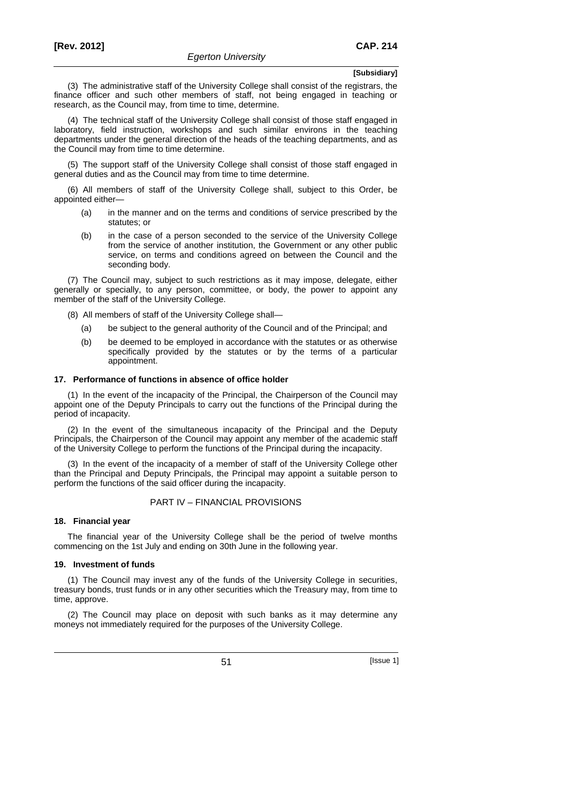(3) The administrative staff of the University College shall consist of the registrars, the finance officer and such other members of staff, not being engaged in teaching or research, as the Council may, from time to time, determine.

(4) The technical staff of the University College shall consist of those staff engaged in laboratory, field instruction, workshops and such similar environs in the teaching departments under the general direction of the heads of the teaching departments, and as the Council may from time to time determine.

(5) The support staff of the University College shall consist of those staff engaged in general duties and as the Council may from time to time determine.

(6) All members of staff of the University College shall, subject to this Order, be appointed either—

- (a) in the manner and on the terms and conditions of service prescribed by the statutes; or
- (b) in the case of a person seconded to the service of the University College from the service of another institution, the Government or any other public service, on terms and conditions agreed on between the Council and the seconding body.

(7) The Council may, subject to such restrictions as it may impose, delegate, either generally or specially, to any person, committee, or body, the power to appoint any member of the staff of the University College.

(8) All members of staff of the University College shall—

- (a) be subject to the general authority of the Council and of the Principal; and
- (b) be deemed to be employed in accordance with the statutes or as otherwise specifically provided by the statutes or by the terms of a particular appointment.

#### **17. Performance of functions in absence of office holder**

(1) In the event of the incapacity of the Principal, the Chairperson of the Council may appoint one of the Deputy Principals to carry out the functions of the Principal during the period of incapacity.

(2) In the event of the simultaneous incapacity of the Principal and the Deputy Principals, the Chairperson of the Council may appoint any member of the academic staff of the University College to perform the functions of the Principal during the incapacity.

(3) In the event of the incapacity of a member of staff of the University College other than the Principal and Deputy Principals, the Principal may appoint a suitable person to perform the functions of the said officer during the incapacity.

#### PART IV – FINANCIAL PROVISIONS

#### **18. Financial year**

The financial year of the University College shall be the period of twelve months commencing on the 1st July and ending on 30th June in the following year.

#### **19. Investment of funds**

(1) The Council may invest any of the funds of the University College in securities, treasury bonds, trust funds or in any other securities which the Treasury may, from time to time, approve.

(2) The Council may place on deposit with such banks as it may determine any moneys not immediately required for the purposes of the University College.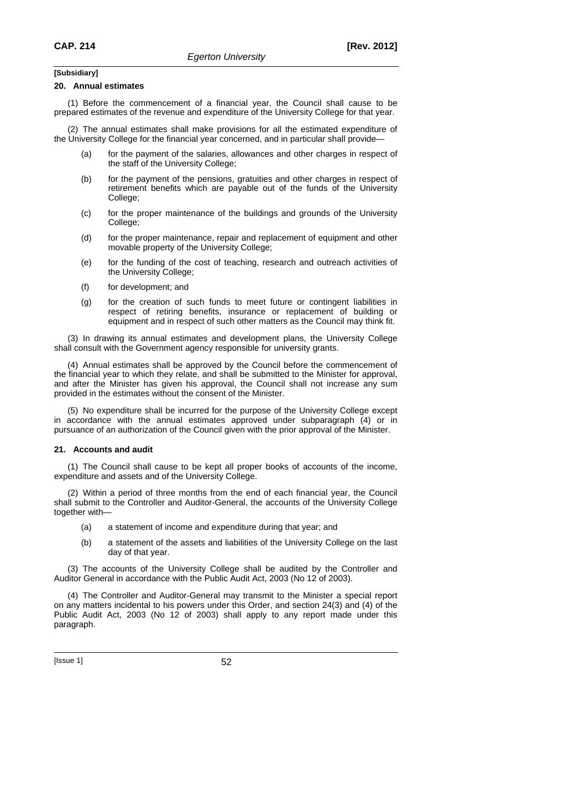#### **20. Annual estimates**

(1) Before the commencement of a financial year, the Council shall cause to be prepared estimates of the revenue and expenditure of the University College for that year.

(2) The annual estimates shall make provisions for all the estimated expenditure of the University College for the financial year concerned, and in particular shall provide—

- (a) for the payment of the salaries, allowances and other charges in respect of the staff of the University College;
- (b) for the payment of the pensions, gratuities and other charges in respect of retirement benefits which are payable out of the funds of the University College;
- (c) for the proper maintenance of the buildings and grounds of the University College:
- (d) for the proper maintenance, repair and replacement of equipment and other movable property of the University College;
- (e) for the funding of the cost of teaching, research and outreach activities of the University College;
- (f) for development; and
- (g) for the creation of such funds to meet future or contingent liabilities in respect of retiring benefits, insurance or replacement of building or equipment and in respect of such other matters as the Council may think fit.

(3) In drawing its annual estimates and development plans, the University College shall consult with the Government agency responsible for university grants.

(4) Annual estimates shall be approved by the Council before the commencement of the financial year to which they relate, and shall be submitted to the Minister for approval, and after the Minister has given his approval, the Council shall not increase any sum provided in the estimates without the consent of the Minister.

(5) No expenditure shall be incurred for the purpose of the University College except in accordance with the annual estimates approved under subparagraph (4) or in pursuance of an authorization of the Council given with the prior approval of the Minister.

### **21. Accounts and audit**

(1) The Council shall cause to be kept all proper books of accounts of the income, expenditure and assets and of the University College.

(2) Within a period of three months from the end of each financial year, the Council shall submit to the Controller and Auditor-General, the accounts of the University College together with—

- (a) a statement of income and expenditure during that year; and
- (b) a statement of the assets and liabilities of the University College on the last day of that year.

(3) The accounts of the University College shall be audited by the Controller and Auditor General in accordance with the Public Audit Act, 2003 (No 12 of 2003).

(4) The Controller and Auditor-General may transmit to the Minister a special report on any matters incidental to his powers under this Order, and section 24(3) and (4) of the Public Audit Act, 2003 (No 12 of 2003) shall apply to any report made under this paragraph.

[Issue 1] 52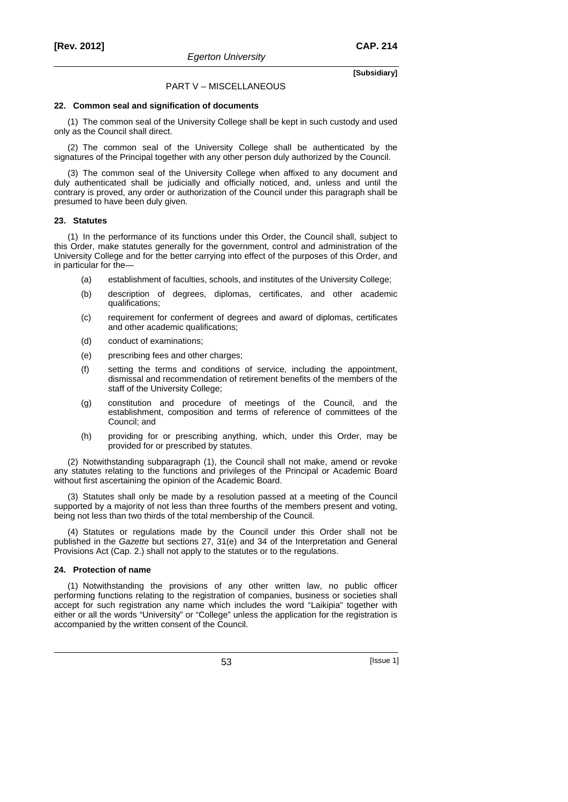### PART V – MISCELLANEOUS

#### **22. Common seal and signification of documents**

(1) The common seal of the University College shall be kept in such custody and used only as the Council shall direct.

(2) The common seal of the University College shall be authenticated by the signatures of the Principal together with any other person duly authorized by the Council.

(3) The common seal of the University College when affixed to any document and duly authenticated shall be judicially and officially noticed, and, unless and until the contrary is proved, any order or authorization of the Council under this paragraph shall be presumed to have been duly given.

#### **23. Statutes**

(1) In the performance of its functions under this Order, the Council shall, subject to this Order, make statutes generally for the government, control and administration of the University College and for the better carrying into effect of the purposes of this Order, and in particular for the—

- (a) establishment of faculties, schools, and institutes of the University College;
- (b) description of degrees, diplomas, certificates, and other academic qualifications;
- (c) requirement for conferment of degrees and award of diplomas, certificates and other academic qualifications;
- (d) conduct of examinations;
- (e) prescribing fees and other charges;
- (f) setting the terms and conditions of service, including the appointment, dismissal and recommendation of retirement benefits of the members of the staff of the University College;
- (g) constitution and procedure of meetings of the Council, and the establishment, composition and terms of reference of committees of the Council; and
- (h) providing for or prescribing anything, which, under this Order, may be provided for or prescribed by statutes.

(2) Notwithstanding subparagraph (1), the Council shall not make, amend or revoke any statutes relating to the functions and privileges of the Principal or Academic Board without first ascertaining the opinion of the Academic Board.

(3) Statutes shall only be made by a resolution passed at a meeting of the Council supported by a majority of not less than three fourths of the members present and voting, being not less than two thirds of the total membership of the Council.

(4) Statutes or regulations made by the Council under this Order shall not be published in the *Gazette* but sections 27, 31(e) and 34 of the Interpretation and General Provisions Act (Cap. 2.) shall not apply to the statutes or to the regulations.

### **24. Protection of name**

(1) Notwithstanding the provisions of any other written law, no public officer performing functions relating to the registration of companies, business or societies shall accept for such registration any name which includes the word "Laikipia" together with either or all the words "University" or "College" unless the application for the registration is accompanied by the written consent of the Council.